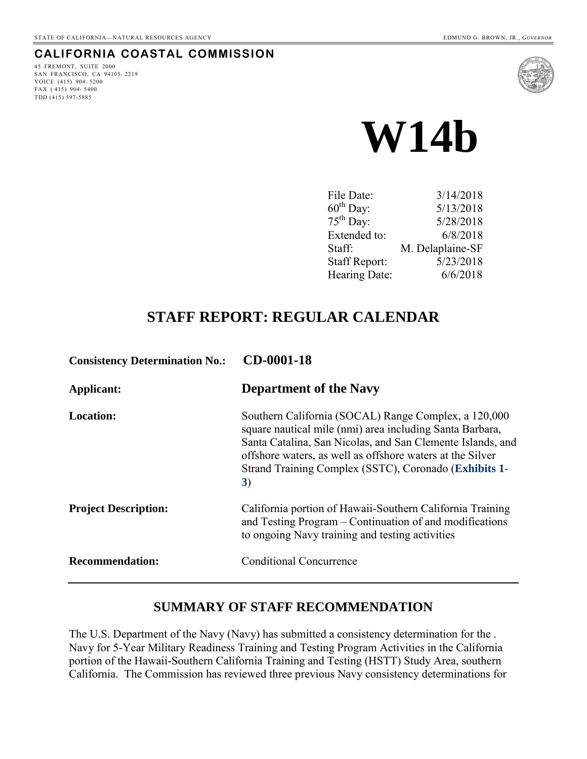## **CALIFORNIA COASTAL COMMISSION**

45 FREMONT, SUITE 2000 SAN FRANCISCO, CA 94105- 2219 VOICE (415) 904- 5200 FAX  $(415)$  904-5400 TDD (415) 597-5885





| 3/14/2018        |
|------------------|
| 5/13/2018        |
| 5/28/2018        |
| 6/8/2018         |
| M. Delaplaine-SF |
| 5/23/2018        |
| 6/6/2018         |
|                  |

# **STAFF REPORT: REGULAR CALENDAR**

| <b>Consistency Determination No.:</b> | CD-0001-18                                                                                                                                                                                                                                                                                                 |
|---------------------------------------|------------------------------------------------------------------------------------------------------------------------------------------------------------------------------------------------------------------------------------------------------------------------------------------------------------|
| Applicant:                            | <b>Department of the Navy</b>                                                                                                                                                                                                                                                                              |
| <b>Location:</b>                      | Southern California (SOCAL) Range Complex, a 120,000<br>square nautical mile (nmi) area including Santa Barbara,<br>Santa Catalina, San Nicolas, and San Clemente Islands, and<br>offshore waters, as well as offshore waters at the Silver<br>Strand Training Complex (SSTC), Coronado (Exhibits 1-<br>3) |
| <b>Project Description:</b>           | California portion of Hawaii-Southern California Training<br>and Testing Program – Continuation of and modifications<br>to ongoing Navy training and testing activities                                                                                                                                    |
| <b>Recommendation:</b>                | <b>Conditional Concurrence</b>                                                                                                                                                                                                                                                                             |

## **SUMMARY OF STAFF RECOMMENDATION**

The U.S. Department of the Navy (Navy) has submitted a consistency determination for the . Navy for 5-Year Military Readiness Training and Testing Program Activities in the California portion of the Hawaii-Southern California Training and Testing (HSTT) Study Area, southern California. The Commission has reviewed three previous Navy consistency determinations for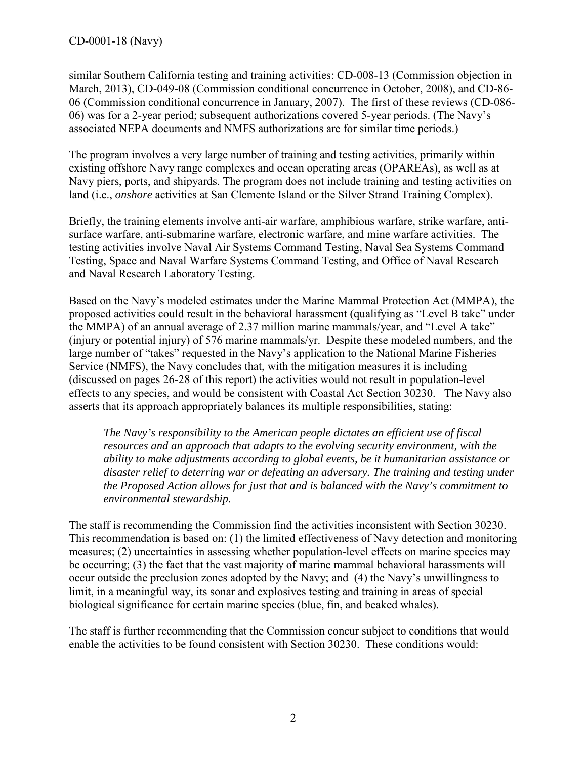similar Southern California testing and training activities: CD-008-13 (Commission objection in March, 2013), CD-049-08 (Commission conditional concurrence in October, 2008), and CD-86- 06 (Commission conditional concurrence in January, 2007). The first of these reviews (CD-086- 06) was for a 2-year period; subsequent authorizations covered 5-year periods. (The Navy's associated NEPA documents and NMFS authorizations are for similar time periods.)

The program involves a very large number of training and testing activities, primarily within existing offshore Navy range complexes and ocean operating areas (OPAREAs), as well as at Navy piers, ports, and shipyards. The program does not include training and testing activities on land (i.e., *onshore* activities at San Clemente Island or the Silver Strand Training Complex).

Briefly, the training elements involve anti-air warfare, amphibious warfare, strike warfare, antisurface warfare, anti-submarine warfare, electronic warfare, and mine warfare activities. The testing activities involve Naval Air Systems Command Testing, Naval Sea Systems Command Testing, Space and Naval Warfare Systems Command Testing, and Office of Naval Research and Naval Research Laboratory Testing.

Based on the Navy's modeled estimates under the Marine Mammal Protection Act (MMPA), the proposed activities could result in the behavioral harassment (qualifying as "Level B take" under the MMPA) of an annual average of 2.37 million marine mammals/year, and "Level A take" (injury or potential injury) of 576 marine mammals/yr. Despite these modeled numbers, and the large number of "takes" requested in the Navy's application to the National Marine Fisheries Service (NMFS), the Navy concludes that, with the mitigation measures it is including (discussed on pages 26-28 of this report) the activities would not result in population-level effects to any species, and would be consistent with Coastal Act Section 30230. The Navy also asserts that its approach appropriately balances its multiple responsibilities, stating:

*The Navy's responsibility to the American people dictates an efficient use of fiscal resources and an approach that adapts to the evolving security environment, with the ability to make adjustments according to global events, be it humanitarian assistance or disaster relief to deterring war or defeating an adversary. The training and testing under the Proposed Action allows for just that and is balanced with the Navy's commitment to environmental stewardship.* 

The staff is recommending the Commission find the activities inconsistent with Section 30230. This recommendation is based on: (1) the limited effectiveness of Navy detection and monitoring measures; (2) uncertainties in assessing whether population-level effects on marine species may be occurring; (3) the fact that the vast majority of marine mammal behavioral harassments will occur outside the preclusion zones adopted by the Navy; and (4) the Navy's unwillingness to limit, in a meaningful way, its sonar and explosives testing and training in areas of special biological significance for certain marine species (blue, fin, and beaked whales).

The staff is further recommending that the Commission concur subject to conditions that would enable the activities to be found consistent with Section 30230. These conditions would: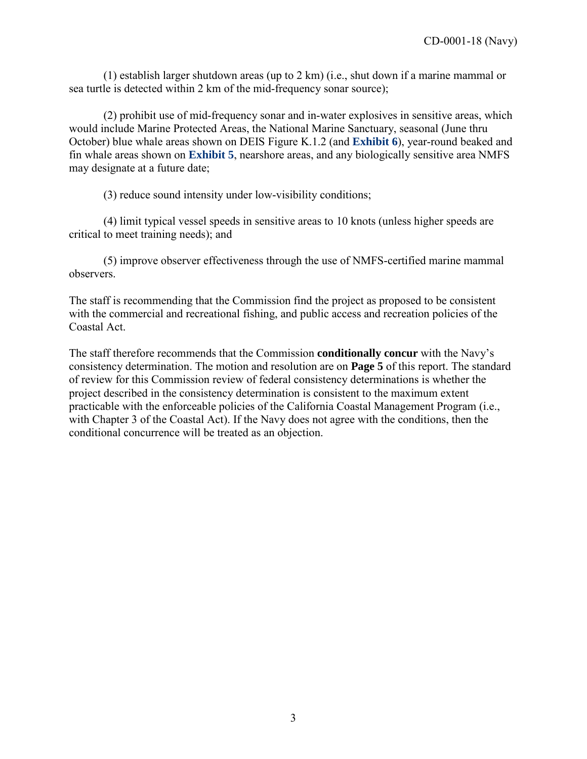(1) establish larger shutdown areas (up to 2 km) (i.e., shut down if a marine mammal or sea turtle is detected within 2 km of the mid-frequency sonar source);

(2) prohibit use of mid-frequency sonar and in-water explosives in sensitive areas, which would include Marine Protected Areas, the National Marine Sanctuary, seasonal (June thru October) blue whale areas shown on DEIS Figure K.1.2 (and **[Exhibit 6](https://documents.coastal.ca.gov/reports/2018/6/w14b/w14b-6-2018-exhibits.pdf)**), year-round beaked and fin whale areas shown on **[Exhibit 5](https://documents.coastal.ca.gov/reports/2018/6/w14b/w14b-6-2018-exhibits.pdf)**, nearshore areas, and any biologically sensitive area NMFS may designate at a future date;

(3) reduce sound intensity under low-visibility conditions;

(4) limit typical vessel speeds in sensitive areas to 10 knots (unless higher speeds are critical to meet training needs); and

(5) improve observer effectiveness through the use of NMFS-certified marine mammal observers.

The staff is recommending that the Commission find the project as proposed to be consistent with the commercial and recreational fishing, and public access and recreation policies of the Coastal Act.

The staff therefore recommends that the Commission **conditionally concur** with the Navy's consistency determination. The motion and resolution are on **Page 5** of this report. The standard of review for this Commission review of federal consistency determinations is whether the project described in the consistency determination is consistent to the maximum extent practicable with the enforceable policies of the California Coastal Management Program (i.e., with Chapter 3 of the Coastal Act). If the Navy does not agree with the conditions, then the conditional concurrence will be treated as an objection.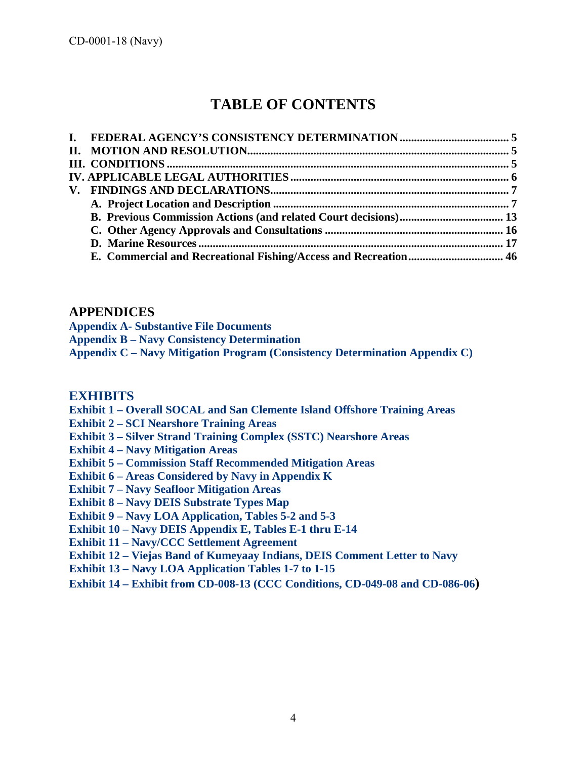# **TABLE OF CONTENTS**

### **APPENDICES**

**[Appendix A- Substantive File Documents](https://documents.coastal.ca.gov/reports/2018/6/w14b/w14b-6-2018-appendix.pdf)** 

**[Appendix B – Navy Consistency Determination](https://documents.coastal.ca.gov/reports/2018/6/w14b/w14b-6-2018-appendix.pdf)** 

**[Appendix C – Navy Mitigation Program \(Consistency Determination Appendix C\)](https://documents.coastal.ca.gov/reports/2018/6/w14b/w14b-6-2018-appendix.pdf)**

### **[EXHIBITS](https://documents.coastal.ca.gov/reports/2018/6/w14b/w14b-6-2018-exhibits.pdf)**

- **[Exhibit 1 Overall SOCAL and San Clemente Island](https://documents.coastal.ca.gov/reports/2018/6/w14b/w14b-6-2018-exhibits.pdf) Offshore Training Areas**
- **[Exhibit 2 SCI Nearshore Training Areas](https://documents.coastal.ca.gov/reports/2018/6/w14b/w14b-6-2018-exhibits.pdf)**
- **[Exhibit 3 Silver Strand Training Complex \(SSTC\) Nearshore Areas](https://documents.coastal.ca.gov/reports/2018/6/w14b/w14b-6-2018-exhibits.pdf)**
- **[Exhibit 4 Navy Mitigation Areas](https://documents.coastal.ca.gov/reports/2018/6/w14b/w14b-6-2018-exhibits.pdf)**
- **[Exhibit 5 Commission Staff Recommended Mitigation Areas](https://documents.coastal.ca.gov/reports/2018/6/w14b/w14b-6-2018-exhibits.pdf)**
- **[Exhibit 6 Areas Considered by Navy in Appendix K](https://documents.coastal.ca.gov/reports/2018/6/w14b/w14b-6-2018-exhibits.pdf)**
- **[Exhibit 7 Navy Seafloor Mitigation Areas](https://documents.coastal.ca.gov/reports/2018/6/w14b/w14b-6-2018-exhibits.pdf)**
- **[Exhibit 8 Navy DEIS Substrate Types Map](https://documents.coastal.ca.gov/reports/2018/6/w14b/w14b-6-2018-exhibits.pdf)**
- **[Exhibit 9 Navy LOA Application, Tables 5-2 and 5-3](https://documents.coastal.ca.gov/reports/2018/6/w14b/w14b-6-2018-exhibits.pdf)**
- **[Exhibit 10 Navy DEIS Appendix E, Tables E-1 thru E-14](https://documents.coastal.ca.gov/reports/2018/6/w14b/w14b-6-2018-exhibits.pdf)**
- **[Exhibit 11 Navy/CCC Settlement Agreement](https://documents.coastal.ca.gov/reports/2018/6/w14b/w14b-6-2018-exhibits.pdf)**
- **[Exhibit 12 Viejas Band of Kumeyaay Indians, DEIS Comment Letter to Navy](https://documents.coastal.ca.gov/reports/2018/6/w14b/w14b-6-2018-exhibits.pdf)**
- **[Exhibit 13 Navy LOA Application Tables 1-7 to 1-15](https://documents.coastal.ca.gov/reports/2018/6/w14b/w14b-6-2018-exhibits.pdf)**
- **[Exhibit 14 Exhibit from CD-008-13 \(CCC Conditions, CD-049-08 and CD-086-06\)](https://documents.coastal.ca.gov/reports/2018/6/w14b/w14b-6-2018-exhibits.pdf)**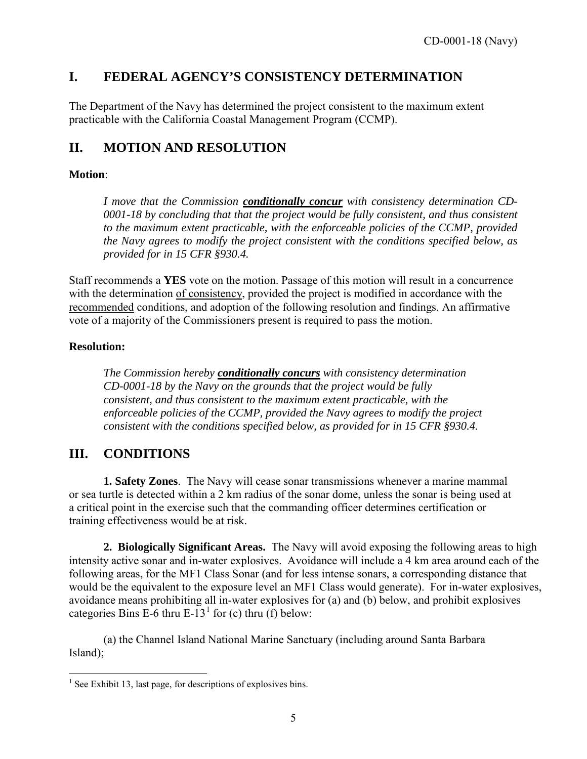# <span id="page-4-0"></span>**I. FEDERAL AGENCY'S CONSISTENCY DETERMINATION**

The Department of the Navy has determined the project consistent to the maximum extent practicable with the California Coastal Management Program (CCMP).

# <span id="page-4-1"></span>**II. MOTION AND RESOLUTION**

### **Motion**:

*I move that the Commission conditionally concur with consistency determination CD-0001-18 by concluding that that the project would be fully consistent, and thus consistent to the maximum extent practicable, with the enforceable policies of the CCMP, provided the Navy agrees to modify the project consistent with the conditions specified below, as provided for in 15 CFR §930.4.* 

Staff recommends a **YES** vote on the motion. Passage of this motion will result in a concurrence with the determination of consistency, provided the project is modified in accordance with the recommended conditions, and adoption of the following resolution and findings. An affirmative vote of a majority of the Commissioners present is required to pass the motion.

### **Resolution:**

*The Commission hereby conditionally concurs with consistency determination CD-0001-18 by the Navy on the grounds that the project would be fully consistent, and thus consistent to the maximum extent practicable, with the enforceable policies of the CCMP, provided the Navy agrees to modify the project consistent with the conditions specified below, as provided for in 15 CFR §930.4.* 

## <span id="page-4-2"></span>**III. CONDITIONS**

**1. Safety Zones**. The Navy will cease sonar transmissions whenever a marine mammal or sea turtle is detected within a 2 km radius of the sonar dome, unless the sonar is being used at a critical point in the exercise such that the commanding officer determines certification or training effectiveness would be at risk.

**2. Biologically Significant Areas.** The Navy will avoid exposing the following areas to high intensity active sonar and in-water explosives. Avoidance will include a 4 km area around each of the following areas, for the MF1 Class Sonar (and for less intense sonars, a corresponding distance that would be the equivalent to the exposure level an MF1 Class would generate). For in-water explosives, avoidance means prohibiting all in-water explosives for (a) and (b) below, and prohibit explosives categories Bins E-6 thru E-[1](#page-4-3)3<sup>1</sup> for (c) thru (f) below:

(a) the Channel Island National Marine Sanctuary (including around Santa Barbara Island);

<span id="page-4-3"></span> $\overline{a}$  $<sup>1</sup>$  See Exhibit 13, last page, for descriptions of explosives bins.</sup>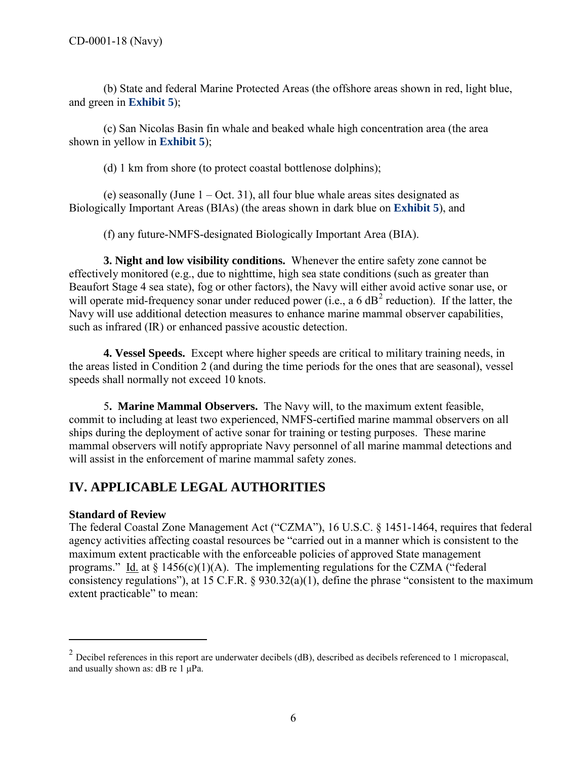(b) State and federal Marine Protected Areas (the offshore areas shown in red, light blue, and green in **[Exhibit 5](https://documents.coastal.ca.gov/reports/2018/6/w14b/w14b-6-2018-exhibits.pdf)**);

(c) San Nicolas Basin fin whale and beaked whale high concentration area (the area shown in yellow in **[Exhibit 5](https://documents.coastal.ca.gov/reports/2018/6/w14b/w14b-6-2018-exhibits.pdf)**);

(d) 1 km from shore (to protect coastal bottlenose dolphins);

(e) seasonally (June  $1 - Oct. 31$ ), all four blue whale areas sites designated as Biologically Important Areas (BIAs) (the areas shown in dark blue on **[Exhibit 5](https://documents.coastal.ca.gov/reports/2018/6/w14b/w14b-6-2018-exhibits.pdf)**), and

(f) any future-NMFS-designated Biologically Important Area (BIA).

**3. Night and low visibility conditions.** Whenever the entire safety zone cannot be effectively monitored (e.g., due to nighttime, high sea state conditions (such as greater than Beaufort Stage 4 sea state), fog or other factors), the Navy will either avoid active sonar use, or will operate mid-frequency sonar under reduced power (i.e., a 6  $dB<sup>2</sup>$  $dB<sup>2</sup>$  $dB<sup>2</sup>$  reduction). If the latter, the Navy will use additional detection measures to enhance marine mammal observer capabilities, such as infrared (IR) or enhanced passive acoustic detection.

**4. Vessel Speeds.** Except where higher speeds are critical to military training needs, in the areas listed in Condition 2 (and during the time periods for the ones that are seasonal), vessel speeds shall normally not exceed 10 knots.

 5**. Marine Mammal Observers.** The Navy will, to the maximum extent feasible, commit to including at least two experienced, NMFS-certified marine mammal observers on all ships during the deployment of active sonar for training or testing purposes. These marine mammal observers will notify appropriate Navy personnel of all marine mammal detections and will assist in the enforcement of marine mammal safety zones.

# <span id="page-5-0"></span>**IV. APPLICABLE LEGAL AUTHORITIES**

### **Standard of Review**

 $\overline{a}$ 

The federal Coastal Zone Management Act ("CZMA"), 16 U.S.C. § 1451-1464, requires that federal agency activities affecting coastal resources be "carried out in a manner which is consistent to the maximum extent practicable with the enforceable policies of approved State management programs." Id. at  $\S 1456(c)(1)(A)$ . The implementing regulations for the CZMA ("federal consistency regulations"), at 15 C.F.R. § 930.32(a)(1), define the phrase "consistent to the maximum extent practicable" to mean:

<span id="page-5-1"></span> $2$  Decibel references in this report are underwater decibels (dB), described as decibels referenced to 1 micropascal, and usually shown as: dB re 1 μPa.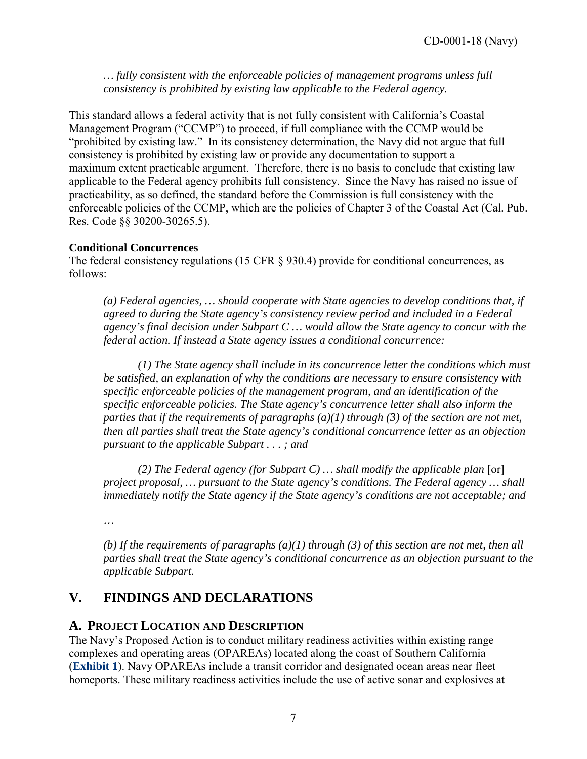*… fully consistent with the enforceable policies of management programs unless full consistency is prohibited by existing law applicable to the Federal agency.* 

This standard allows a federal activity that is not fully consistent with California's Coastal Management Program ("CCMP") to proceed, if full compliance with the CCMP would be "prohibited by existing law." In its consistency determination, the Navy did not argue that full consistency is prohibited by existing law or provide any documentation to support a maximum extent practicable argument. Therefore, there is no basis to conclude that existing law applicable to the Federal agency prohibits full consistency. Since the Navy has raised no issue of practicability, as so defined, the standard before the Commission is full consistency with the enforceable policies of the CCMP, which are the policies of Chapter 3 of the Coastal Act (Cal. Pub. Res. Code §§ 30200-30265.5).

### **Conditional Concurrences**

The federal consistency regulations (15 CFR  $\S$  930.4) provide for conditional concurrences, as follows:

*(a) Federal agencies, … should cooperate with State agencies to develop conditions that, if agreed to during the State agency's consistency review period and included in a Federal agency's final decision under Subpart C … would allow the State agency to concur with the federal action. If instead a State agency issues a conditional concurrence:* 

*(1) The State agency shall include in its concurrence letter the conditions which must be satisfied, an explanation of why the conditions are necessary to ensure consistency with specific enforceable policies of the management program, and an identification of the specific enforceable policies. The State agency's concurrence letter shall also inform the parties that if the requirements of paragraphs (a)(1) through (3) of the section are not met, then all parties shall treat the State agency's conditional concurrence letter as an objection pursuant to the applicable Subpart . . . ; and* 

*(2) The Federal agency (for Subpart C) ... shall modify the applicable plan* [or] *project proposal, … pursuant to the State agency's conditions. The Federal agency … shall immediately notify the State agency if the State agency's conditions are not acceptable; and* 

*…* 

*(b) If the requirements of paragraphs (a)(1) through (3) of this section are not met, then all parties shall treat the State agency's conditional concurrence as an objection pursuant to the applicable Subpart.* 

# <span id="page-6-0"></span>**V. FINDINGS AND DECLARATIONS**

## <span id="page-6-1"></span>**A. PROJECT LOCATION AND DESCRIPTION**

The Navy's Proposed Action is to conduct military readiness activities within existing range complexes and operating areas (OPAREAs) located along the coast of Southern California (**[Exhibit 1](https://documents.coastal.ca.gov/reports/2018/6/w14b/w14b-6-2018-exhibits.pdf)**). Navy OPAREAs include a transit corridor and designated ocean areas near fleet homeports. These military readiness activities include the use of active sonar and explosives at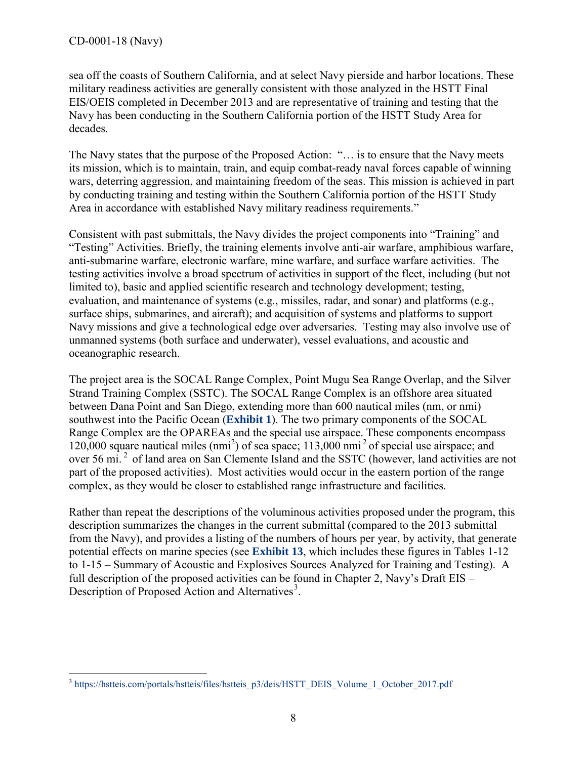sea off the coasts of Southern California, and at select Navy pierside and harbor locations. These military readiness activities are generally consistent with those analyzed in the HSTT Final EIS/OEIS completed in December 2013 and are representative of training and testing that the Navy has been conducting in the Southern California portion of the HSTT Study Area for decades.

The Navy states that the purpose of the Proposed Action: "… is to ensure that the Navy meets its mission, which is to maintain, train, and equip combat-ready naval forces capable of winning wars, deterring aggression, and maintaining freedom of the seas. This mission is achieved in part by conducting training and testing within the Southern California portion of the HSTT Study Area in accordance with established Navy military readiness requirements."

Consistent with past submittals, the Navy divides the project components into "Training" and "Testing" Activities. Briefly, the training elements involve anti-air warfare, amphibious warfare, anti-submarine warfare, electronic warfare, mine warfare, and surface warfare activities. The testing activities involve a broad spectrum of activities in support of the fleet, including (but not limited to), basic and applied scientific research and technology development; testing, evaluation, and maintenance of systems (e.g., missiles, radar, and sonar) and platforms (e.g., surface ships, submarines, and aircraft); and acquisition of systems and platforms to support Navy missions and give a technological edge over adversaries. Testing may also involve use of unmanned systems (both surface and underwater), vessel evaluations, and acoustic and oceanographic research.

The project area is the SOCAL Range Complex, Point Mugu Sea Range Overlap, and the Silver Strand Training Complex (SSTC). The SOCAL Range Complex is an offshore area situated between Dana Point and San Diego, extending more than 600 nautical miles (nm, or nmi) southwest into the Pacific Ocean (**[Exhibit 1](https://documents.coastal.ca.gov/reports/2018/6/w14b/w14b-6-2018-exhibits.pdf)**). The two primary components of the SOCAL Range Complex are the OPAREAs and the special use airspace. These components encompass 120,000 square nautical miles (nmi<sup>2</sup>) of sea space; 113,000 nmi<sup>2</sup> of special use airspace; and over 56 mi.<sup>2</sup> of land area on San Clemente Island and the SSTC (however, land activities are not part of the proposed activities). Most activities would occur in the eastern portion of the range complex, as they would be closer to established range infrastructure and facilities.

Rather than repeat the descriptions of the voluminous activities proposed under the program, this description summarizes the changes in the current submittal (compared to the 2013 submittal from the Navy), and provides a listing of the numbers of hours per year, by activity, that generate potential effects on marine species (see **[Exhibit 13](https://documents.coastal.ca.gov/reports/2018/6/w14b/w14b-6-2018-exhibits.pdf)**, which includes these figures in Tables 1-12 to 1-15 – Summary of Acoustic and Explosives Sources Analyzed for Training and Testing). A full description of the proposed activities can be found in Chapter 2, Navy's Draft EIS – Description of Proposed Action and Alternatives<sup>[3](#page-7-0)</sup>.

<span id="page-7-0"></span> $\overline{a}$ <sup>3</sup> [https://hstteis.com/portals/hstteis/files/hstteis\\_p3/deis/HSTT\\_DEIS\\_Volume\\_1\\_October\\_2017.pdf](https://hstteis.com/portals/hstteis/files/hstteis_p3/deis/HSTT_DEIS_Volume_1_October_2017.pdf)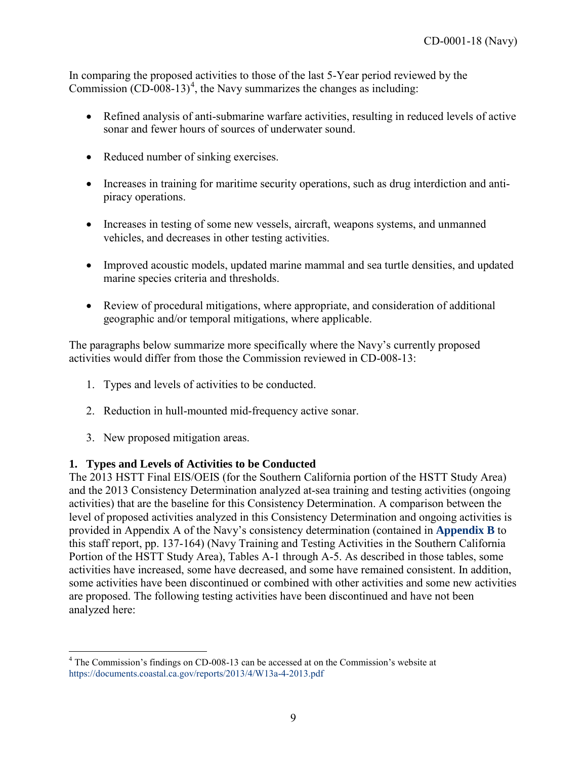In comparing the proposed activities to those of the last 5-Year period reviewed by the Commission  $(CD-008-13)^4$  $(CD-008-13)^4$ , the Navy summarizes the changes as including:

- Refined analysis of anti-submarine warfare activities, resulting in reduced levels of active sonar and fewer hours of sources of underwater sound.
- Reduced number of sinking exercises.
- Increases in training for maritime security operations, such as drug interdiction and antipiracy operations.
- Increases in testing of some new vessels, aircraft, weapons systems, and unmanned vehicles, and decreases in other testing activities.
- Improved acoustic models, updated marine mammal and sea turtle densities, and updated marine species criteria and thresholds.
- Review of procedural mitigations, where appropriate, and consideration of additional geographic and/or temporal mitigations, where applicable.

The paragraphs below summarize more specifically where the Navy's currently proposed activities would differ from those the Commission reviewed in CD-008-13:

- 1. Types and levels of activities to be conducted.
- 2. Reduction in hull-mounted mid-frequency active sonar.
- 3. New proposed mitigation areas.

### **1. Types and Levels of Activities to be Conducted**

The 2013 HSTT Final EIS/OEIS (for the Southern California portion of the HSTT Study Area) and the 2013 Consistency Determination analyzed at-sea training and testing activities (ongoing activities) that are the baseline for this Consistency Determination. A comparison between the level of proposed activities analyzed in this Consistency Determination and ongoing activities is provided in Appendix A of the Navy's consistency determination (contained in **[Appendix B](https://documents.coastal.ca.gov/reports/2018/6/w14b/w14b-6-2018-appendix.pdf)** to this staff report, pp. 137-164) (Navy Training and Testing Activities in the Southern California Portion of the HSTT Study Area), Tables A-1 through A-5. As described in those tables, some activities have increased, some have decreased, and some have remained consistent. In addition, some activities have been discontinued or combined with other activities and some new activities are proposed. The following testing activities have been discontinued and have not been analyzed here:

<span id="page-8-0"></span> $\overline{a}$ <sup>4</sup> The Commission's findings on CD-008-13 can be accessed at on the Commission's website at <https://documents.coastal.ca.gov/reports/2013/4/W13a-4-2013.pdf>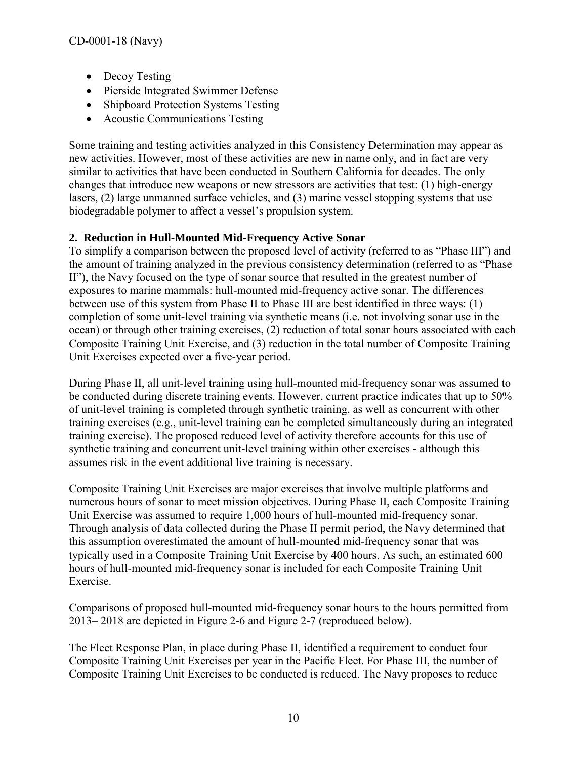- Decoy Testing
- Pierside Integrated Swimmer Defense
- Shipboard Protection Systems Testing
- Acoustic Communications Testing

Some training and testing activities analyzed in this Consistency Determination may appear as new activities. However, most of these activities are new in name only, and in fact are very similar to activities that have been conducted in Southern California for decades. The only changes that introduce new weapons or new stressors are activities that test: (1) high-energy lasers, (2) large unmanned surface vehicles, and (3) marine vessel stopping systems that use biodegradable polymer to affect a vessel's propulsion system.

## **2. Reduction in Hull-Mounted Mid-Frequency Active Sonar**

To simplify a comparison between the proposed level of activity (referred to as "Phase III") and the amount of training analyzed in the previous consistency determination (referred to as "Phase II"), the Navy focused on the type of sonar source that resulted in the greatest number of exposures to marine mammals: hull-mounted mid-frequency active sonar. The differences between use of this system from Phase II to Phase III are best identified in three ways: (1) completion of some unit-level training via synthetic means (i.e. not involving sonar use in the ocean) or through other training exercises, (2) reduction of total sonar hours associated with each Composite Training Unit Exercise, and (3) reduction in the total number of Composite Training Unit Exercises expected over a five-year period.

During Phase II, all unit-level training using hull-mounted mid-frequency sonar was assumed to be conducted during discrete training events. However, current practice indicates that up to 50% of unit-level training is completed through synthetic training, as well as concurrent with other training exercises (e.g., unit-level training can be completed simultaneously during an integrated training exercise). The proposed reduced level of activity therefore accounts for this use of synthetic training and concurrent unit-level training within other exercises - although this assumes risk in the event additional live training is necessary.

Composite Training Unit Exercises are major exercises that involve multiple platforms and numerous hours of sonar to meet mission objectives. During Phase II, each Composite Training Unit Exercise was assumed to require 1,000 hours of hull-mounted mid-frequency sonar. Through analysis of data collected during the Phase II permit period, the Navy determined that this assumption overestimated the amount of hull-mounted mid-frequency sonar that was typically used in a Composite Training Unit Exercise by 400 hours. As such, an estimated 600 hours of hull-mounted mid-frequency sonar is included for each Composite Training Unit Exercise.

Comparisons of proposed hull-mounted mid-frequency sonar hours to the hours permitted from 2013– 2018 are depicted in Figure 2-6 and Figure 2-7 (reproduced below).

The Fleet Response Plan, in place during Phase II, identified a requirement to conduct four Composite Training Unit Exercises per year in the Pacific Fleet. For Phase III, the number of Composite Training Unit Exercises to be conducted is reduced. The Navy proposes to reduce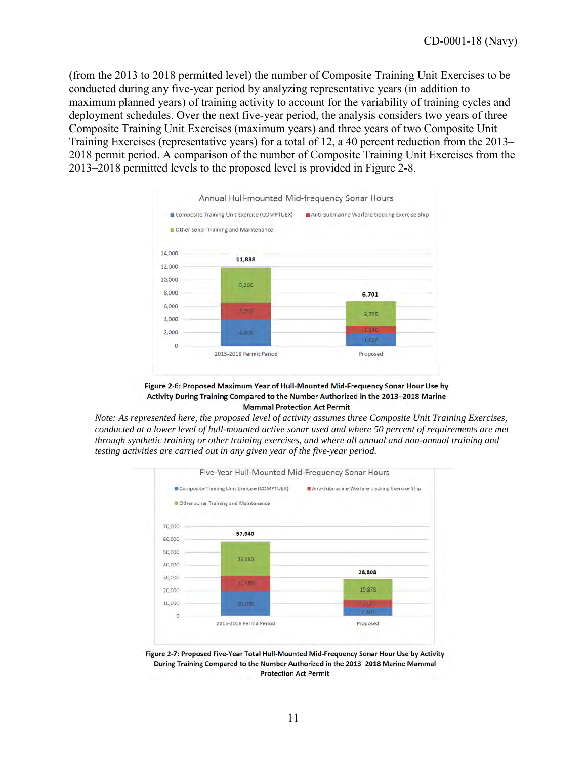(from the 2013 to 2018 permitted level) the number of Composite Training Unit Exercises to be conducted during any five-year period by analyzing representative years (in addition to maximum planned years) of training activity to account for the variability of training cycles and deployment schedules. Over the next five-year period, the analysis considers two years of three Composite Training Unit Exercises (maximum years) and three years of two Composite Unit Training Exercises (representative years) for a total of 12, a 40 percent reduction from the 2013– 2018 permit period. A comparison of the number of Composite Training Unit Exercises from the 2013–2018 permitted levels to the proposed level is provided in Figure 2-8.



Figure 2-6: Proposed Maximum Year of Hull-Mounted Mid-Frequency Sonar Hour Use by Activity During Training Compared to the Number Authorized in the 2013-2018 Marine **Mammal Protection Act Permit** 

*Note: As represented here, the proposed level of activity assumes three Composite Unit Training Exercises, conducted at a lower level of hull-mounted active sonar used and where 50 percent of requirements are met through synthetic training or other training exercises, and where all annual and non-annual training and testing activities are carried out in any given year of the five-year period.* 



Figure 2-7: Proposed Five-Year Total Hull-Mounted Mid-Frequency Sonar Hour Use by Activity During Training Compared to the Number Authorized in the 2013-2018 Marine Mammal **Protection Act Permit**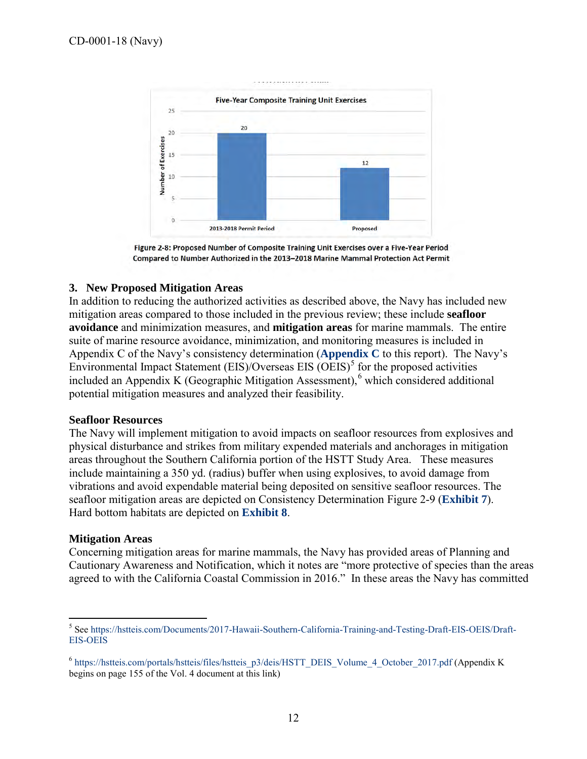

Figure 2-8: Proposed Number of Composite Training Unit Exercises over a Five-Year Period Compared to Number Authorized in the 2013-2018 Marine Mammal Protection Act Permit

#### **3. New Proposed Mitigation Areas**

In addition to reducing the authorized activities as described above, the Navy has included new mitigation areas compared to those included in the previous review; these include **seafloor avoidance** and minimization measures, and **mitigation areas** for marine mammals. The entire suite of marine resource avoidance, minimization, and monitoring measures is included in Appendix C of the Navy's consistency determination (**[Appendix C](https://documents.coastal.ca.gov/reports/2018/6/w14b/w14b-6-2018-appendix.pdf)** to this report). The Navy's Environmental Impact Statement  $(EIS)/Overse$  EIS  $(OEIS)^5$  $(OEIS)^5$  for the proposed activities included an Appendix K (Geographic Mitigation Assessment),<sup>[6](#page-11-1)</sup> which considered additional potential mitigation measures and analyzed their feasibility.

#### **Seafloor Resources**

The Navy will implement mitigation to avoid impacts on seafloor resources from explosives and physical disturbance and strikes from military expended materials and anchorages in mitigation areas throughout the Southern California portion of the HSTT Study Area. These measures include maintaining a 350 yd. (radius) buffer when using explosives, to avoid damage from vibrations and avoid expendable material being deposited on sensitive seafloor resources. The seafloor mitigation areas are depicted on Consistency Determination Figure 2-9 (**[Exhibit 7](https://documents.coastal.ca.gov/reports/2018/6/w14b/w14b-6-2018-exhibits.pdf)**). Hard bottom habitats are depicted on **[Exhibit 8](https://documents.coastal.ca.gov/reports/2018/6/w14b/w14b-6-2018-exhibits.pdf)**.

#### **Mitigation Areas**

 $\overline{a}$ 

Concerning mitigation areas for marine mammals, the Navy has provided areas of Planning and Cautionary Awareness and Notification, which it notes are "more protective of species than the areas agreed to with the California Coastal Commission in 2016." In these areas the Navy has committed

<span id="page-11-0"></span><sup>5</sup> Se[e https://hstteis.com/Documents/2017-Hawaii-Southern-California-Training-and-Testing-Draft-EIS-OEIS/Draft-](https://hstteis.com/Documents/2017-Hawaii-Southern-California-Training-and-Testing-Draft-EIS-OEIS/Draft-EIS-OEIS)[EIS-OEIS](https://hstteis.com/Documents/2017-Hawaii-Southern-California-Training-and-Testing-Draft-EIS-OEIS/Draft-EIS-OEIS)

<span id="page-11-1"></span><sup>&</sup>lt;sup>6</sup> [https://hstteis.com/portals/hstteis/files/hstteis\\_p3/deis/HSTT\\_DEIS\\_Volume\\_4\\_October\\_2017.pdf](https://hstteis.com/portals/hstteis/files/hstteis_p3/deis/HSTT_DEIS_Volume_4_October_2017.pdf) (Appendix K begins on page 155 of the Vol. 4 document at this link)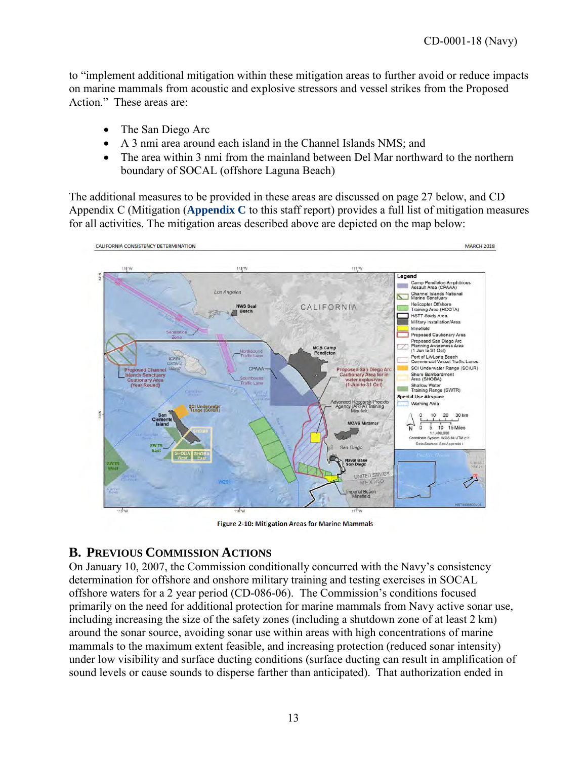to "implement additional mitigation within these mitigation areas to further avoid or reduce impacts on marine mammals from acoustic and explosive stressors and vessel strikes from the Proposed Action." These areas are:

- The San Diego Arc
- A 3 nmi area around each island in the Channel Islands NMS; and
- The area within 3 nmi from the mainland between Del Mar northward to the northern boundary of SOCAL (offshore Laguna Beach)

The additional measures to be provided in these areas are discussed on page 27 below, and CD Appendix C (Mitigation (**[Appendix C](https://documents.coastal.ca.gov/reports/2018/6/w14b/w14b-6-2018-appendix.pdf)** to this staff report) provides a full list of mitigation measures for all activities. The mitigation areas described above are depicted on the map below:



Figure 2-10: Mitigation Areas for Marine Mammals

# <span id="page-12-0"></span>**B. PREVIOUS COMMISSION ACTIONS**

On January 10, 2007, the Commission conditionally concurred with the Navy's consistency determination for offshore and onshore military training and testing exercises in SOCAL offshore waters for a 2 year period (CD-086-06). The Commission's conditions focused primarily on the need for additional protection for marine mammals from Navy active sonar use, including increasing the size of the safety zones (including a shutdown zone of at least 2 km) around the sonar source, avoiding sonar use within areas with high concentrations of marine mammals to the maximum extent feasible, and increasing protection (reduced sonar intensity) under low visibility and surface ducting conditions (surface ducting can result in amplification of sound levels or cause sounds to disperse farther than anticipated). That authorization ended in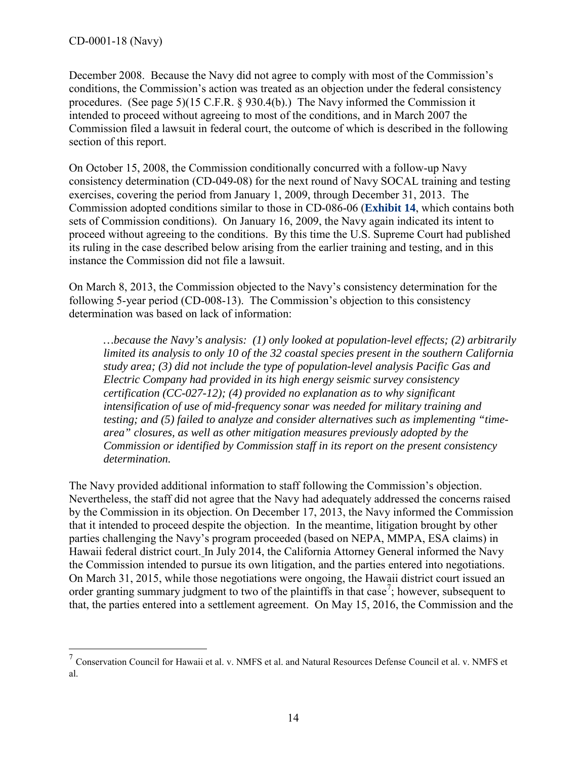$\overline{a}$ 

December 2008. Because the Navy did not agree to comply with most of the Commission's conditions, the Commission's action was treated as an objection under the federal consistency procedures. (See page 5)(15 C.F.R. § 930.4(b).) The Navy informed the Commission it intended to proceed without agreeing to most of the conditions, and in March 2007 the Commission filed a lawsuit in federal court, the outcome of which is described in the following section of this report.

On October 15, 2008, the Commission conditionally concurred with a follow-up Navy consistency determination (CD-049-08) for the next round of Navy SOCAL training and testing exercises, covering the period from January 1, 2009, through December 31, 2013. The Commission adopted conditions similar to those in CD-086-06 (**[Exhibit 14](https://documents.coastal.ca.gov/reports/2018/6/w14b/w14b-6-2018-exhibits.pdf)**, which contains both sets of Commission conditions). On January 16, 2009, the Navy again indicated its intent to proceed without agreeing to the conditions. By this time the U.S. Supreme Court had published its ruling in the case described below arising from the earlier training and testing, and in this instance the Commission did not file a lawsuit.

On March 8, 2013, the Commission objected to the Navy's consistency determination for the following 5-year period (CD-008-13). The Commission's objection to this consistency determination was based on lack of information:

*…because the Navy's analysis: (1) only looked at population-level effects; (2) arbitrarily limited its analysis to only 10 of the 32 coastal species present in the southern California study area; (3) did not include the type of population-level analysis Pacific Gas and Electric Company had provided in its high energy seismic survey consistency certification (CC-027-12); (4) provided no explanation as to why significant intensification of use of mid-frequency sonar was needed for military training and testing; and (5) failed to analyze and consider alternatives such as implementing "timearea" closures, as well as other mitigation measures previously adopted by the Commission or identified by Commission staff in its report on the present consistency determination.* 

The Navy provided additional information to staff following the Commission's objection. Nevertheless, the staff did not agree that the Navy had adequately addressed the concerns raised by the Commission in its objection. On December 17, 2013, the Navy informed the Commission that it intended to proceed despite the objection. In the meantime, litigation brought by other parties challenging the Navy's program proceeded (based on NEPA, MMPA, ESA claims) in Hawaii federal district court. In July 2014, the California Attorney General informed the Navy the Commission intended to pursue its own litigation, and the parties entered into negotiations. On March 31, 2015, while those negotiations were ongoing, the Hawaii district court issued an order granting summary judgment to two of the plaintiffs in that case<sup>[7](#page-13-0)</sup>; however, subsequent to that, the parties entered into a settlement agreement. On May 15, 2016, the Commission and the

<span id="page-13-0"></span> $^7$  Conservation Council for Hawaii et al. v. NMFS et al. and Natural Resources Defense Council et al. v. NMFS et al.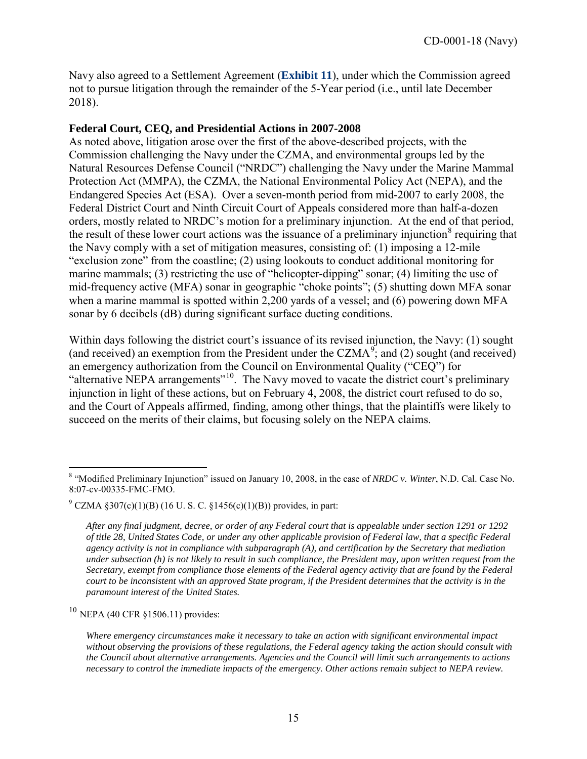Navy also agreed to a Settlement Agreement (**[Exhibit 11](https://documents.coastal.ca.gov/reports/2018/6/w14b/w14b-6-2018-exhibits.pdf)**), under which the Commission agreed not to pursue litigation through the remainder of the 5-Year period (i.e., until late December 2018).

### **Federal Court, CEQ, and Presidential Actions in 2007-2008**

As noted above, litigation arose over the first of the above-described projects, with the Commission challenging the Navy under the CZMA, and environmental groups led by the Natural Resources Defense Council ("NRDC") challenging the Navy under the Marine Mammal Protection Act (MMPA), the CZMA, the National Environmental Policy Act (NEPA), and the Endangered Species Act (ESA). Over a seven-month period from mid-2007 to early 2008, the Federal District Court and Ninth Circuit Court of Appeals considered more than half-a-dozen orders, mostly related to NRDC's motion for a preliminary injunction. At the end of that period, the result of these lower court actions was the issuance of a preliminary injunction<sup>[8](#page-14-0)</sup> requiring that the Navy comply with a set of mitigation measures, consisting of: (1) imposing a 12-mile "exclusion zone" from the coastline; (2) using lookouts to conduct additional monitoring for marine mammals; (3) restricting the use of "helicopter-dipping" sonar; (4) limiting the use of mid-frequency active (MFA) sonar in geographic "choke points"; (5) shutting down MFA sonar when a marine mammal is spotted within 2,200 yards of a vessel; and (6) powering down MFA sonar by 6 decibels (dB) during significant surface ducting conditions.

Within days following the district court's issuance of its revised injunction, the Navy: (1) sought (and received) an exemption from the President under the CZMA<sup>[9](#page-14-1)</sup>; and (2) sought (and received) an emergency authorization from the Council on Environmental Quality ("CEQ") for "alternative NEPA arrangements"<sup>10</sup>. The Navy moved to vacate the district court's preliminary injunction in light of these actions, but on February 4, 2008, the district court refused to do so, and the Court of Appeals affirmed, finding, among other things, that the plaintiffs were likely to succeed on the merits of their claims, but focusing solely on the NEPA claims.

<span id="page-14-2"></span><sup>10</sup> NEPA (40 CFR §1506.11) provides:

<span id="page-14-0"></span> $\overline{a}$ <sup>8</sup> "Modified Preliminary Injunction" issued on January 10, 2008, in the case of *NRDC v. Winter*, N.D. Cal. Case No. 8:07-cv-00335-FMC-FMO.

<span id="page-14-1"></span> $9^{\circ}$  CZMA §307(c)(1)(B) (16 U. S. C. §1456(c)(1)(B)) provides, in part:

*After any final judgment, decree, or order of any Federal court that is appealable under section 1291 or 1292 of title 28, United States Code, or under any other applicable provision of Federal law, that a specific Federal agency activity is not in compliance with subparagraph (A), and certification by the Secretary that mediation under subsection (h) is not likely to result in such compliance, the President may, upon written request from the Secretary, exempt from compliance those elements of the Federal agency activity that are found by the Federal court to be inconsistent with an approved State program, if the President determines that the activity is in the paramount interest of the United States.* 

*Where emergency circumstances make it necessary to take an action with significant environmental impact without observing the provisions of these regulations, the Federal agency taking the action should consult with the Council about alternative arrangements. Agencies and the Council will limit such arrangements to actions necessary to control the immediate impacts of the emergency. Other actions remain subject to NEPA review.*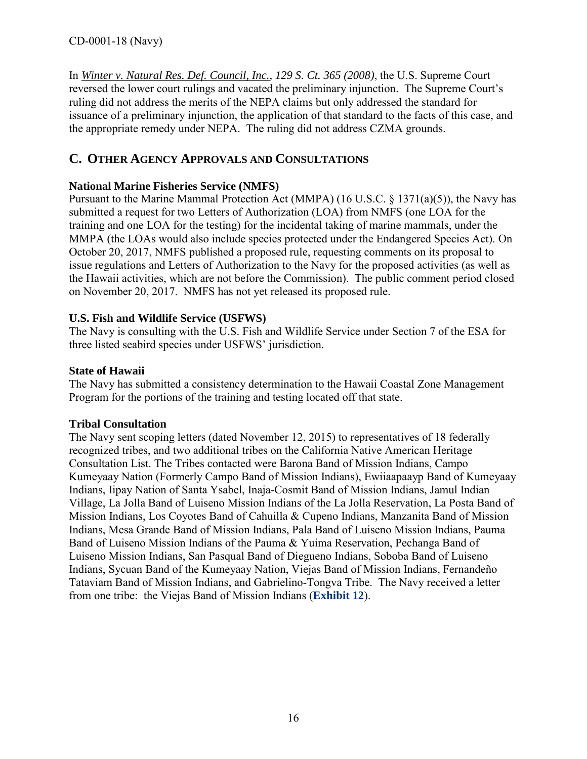In *Winter v. Natural Res. Def. Council, Inc., 129 S. Ct. 365 (2008)*, the U.S. Supreme Court reversed the lower court rulings and vacated the preliminary injunction. The Supreme Court's ruling did not address the merits of the NEPA claims but only addressed the standard for issuance of a preliminary injunction, the application of that standard to the facts of this case, and the appropriate remedy under NEPA. The ruling did not address CZMA grounds.

# <span id="page-15-0"></span>**C. OTHER AGENCY APPROVALS AND CONSULTATIONS**

## **National Marine Fisheries Service (NMFS)**

Pursuant to the Marine Mammal Protection Act (MMPA) (16 U.S.C.  $\S$  1371(a)(5)), the Navy has submitted a request for two Letters of Authorization (LOA) from NMFS (one LOA for the training and one LOA for the testing) for the incidental taking of marine mammals, under the MMPA (the LOAs would also include species protected under the Endangered Species Act). On October 20, 2017, NMFS published a proposed rule, requesting comments on its proposal to issue regulations and Letters of Authorization to the Navy for the proposed activities (as well as the Hawaii activities, which are not before the Commission). The public comment period closed on November 20, 2017. NMFS has not yet released its proposed rule.

### **U.S. Fish and Wildlife Service (USFWS)**

The Navy is consulting with the U.S. Fish and Wildlife Service under Section 7 of the ESA for three listed seabird species under USFWS' jurisdiction.

### **State of Hawaii**

The Navy has submitted a consistency determination to the Hawaii Coastal Zone Management Program for the portions of the training and testing located off that state.

### **Tribal Consultation**

The Navy sent scoping letters (dated November 12, 2015) to representatives of 18 federally recognized tribes, and two additional tribes on the California Native American Heritage Consultation List. The Tribes contacted were Barona Band of Mission Indians, Campo Kumeyaay Nation (Formerly Campo Band of Mission Indians), Ewiiaapaayp Band of Kumeyaay Indians, Iipay Nation of Santa Ysabel, Inaja-Cosmit Band of Mission Indians, Jamul Indian Village, La Jolla Band of Luiseno Mission Indians of the La Jolla Reservation, La Posta Band of Mission Indians, Los Coyotes Band of Cahuilla & Cupeno Indians, Manzanita Band of Mission Indians, Mesa Grande Band of Mission Indians, Pala Band of Luiseno Mission Indians, Pauma Band of Luiseno Mission Indians of the Pauma & Yuima Reservation, Pechanga Band of Luiseno Mission Indians, San Pasqual Band of Diegueno Indians, Soboba Band of Luiseno Indians, Sycuan Band of the Kumeyaay Nation, Viejas Band of Mission Indians, Fernandeño Tataviam Band of Mission Indians, and Gabrielino-Tongva Tribe. The Navy received a letter from one tribe: the Viejas Band of Mission Indians (**[Exhibit 12](https://documents.coastal.ca.gov/reports/2018/6/w14b/w14b-6-2018-exhibits.pdf)**).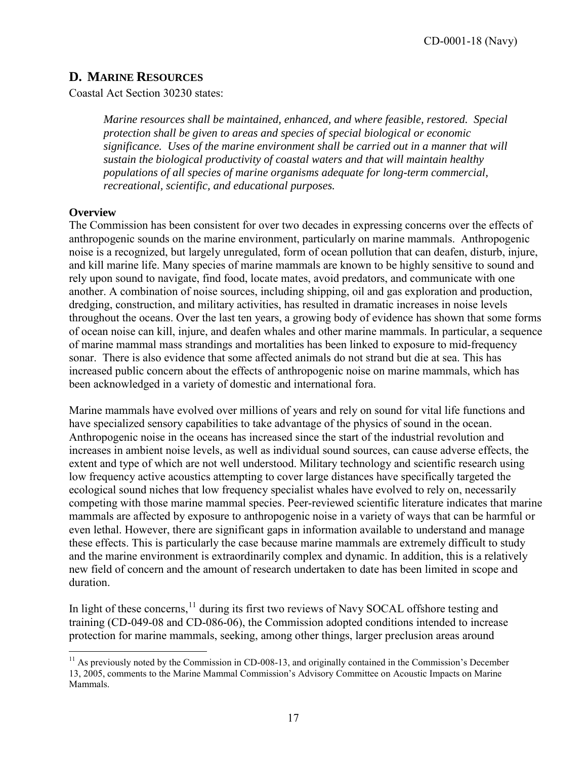## <span id="page-16-0"></span>**D. MARINE RESOURCES**

Coastal Act Section 30230 states:

*Marine resources shall be maintained, enhanced, and where feasible, restored. Special protection shall be given to areas and species of special biological or economic significance. Uses of the marine environment shall be carried out in a manner that will sustain the biological productivity of coastal waters and that will maintain healthy populations of all species of marine organisms adequate for long-term commercial, recreational, scientific, and educational purposes.* 

#### **Overview**

The Commission has been consistent for over two decades in expressing concerns over the effects of anthropogenic sounds on the marine environment, particularly on marine mammals. Anthropogenic noise is a recognized, but largely unregulated, form of ocean pollution that can deafen, disturb, injure, and kill marine life. Many species of marine mammals are known to be highly sensitive to sound and rely upon sound to navigate, find food, locate mates, avoid predators, and communicate with one another. A combination of noise sources, including shipping, oil and gas exploration and production, dredging, construction, and military activities, has resulted in dramatic increases in noise levels throughout the oceans. Over the last ten years, a growing body of evidence has shown that some forms of ocean noise can kill, injure, and deafen whales and other marine mammals. In particular, a sequence of marine mammal mass strandings and mortalities has been linked to exposure to mid-frequency sonar. There is also evidence that some affected animals do not strand but die at sea. This has increased public concern about the effects of anthropogenic noise on marine mammals, which has been acknowledged in a variety of domestic and international fora.

Marine mammals have evolved over millions of years and rely on sound for vital life functions and have specialized sensory capabilities to take advantage of the physics of sound in the ocean. Anthropogenic noise in the oceans has increased since the start of the industrial revolution and increases in ambient noise levels, as well as individual sound sources, can cause adverse effects, the extent and type of which are not well understood. Military technology and scientific research using low frequency active acoustics attempting to cover large distances have specifically targeted the ecological sound niches that low frequency specialist whales have evolved to rely on, necessarily competing with those marine mammal species. Peer-reviewed scientific literature indicates that marine mammals are affected by exposure to anthropogenic noise in a variety of ways that can be harmful or even lethal. However, there are significant gaps in information available to understand and manage these effects. This is particularly the case because marine mammals are extremely difficult to study and the marine environment is extraordinarily complex and dynamic. In addition, this is a relatively new field of concern and the amount of research undertaken to date has been limited in scope and duration.

In light of these concerns, $11$  during its first two reviews of Navy SOCAL offshore testing and training (CD-049-08 and CD-086-06), the Commission adopted conditions intended to increase protection for marine mammals, seeking, among other things, larger preclusion areas around

<span id="page-16-1"></span> $\overline{a}$ <sup>11</sup> As previously noted by the Commission in CD-008-13, and originally contained in the Commission's December 13, 2005, comments to the Marine Mammal Commission's Advisory Committee on Acoustic Impacts on Marine Mammals.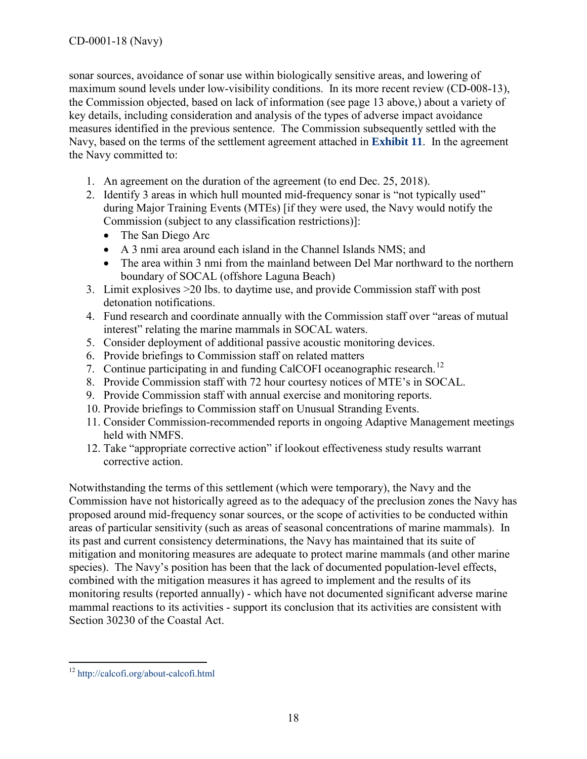sonar sources, avoidance of sonar use within biologically sensitive areas, and lowering of maximum sound levels under low-visibility conditions. In its more recent review (CD-008-13), the Commission objected, based on lack of information (see page 13 above,) about a variety of key details, including consideration and analysis of the types of adverse impact avoidance measures identified in the previous sentence. The Commission subsequently settled with the Navy, based on the terms of the settlement agreement attached in **[Exhibit 11](https://documents.coastal.ca.gov/reports/2018/6/w14b/w14b-6-2018-exhibits.pdf)**. In the agreement the Navy committed to:

- 1. An agreement on the duration of the agreement (to end Dec. 25, 2018).
- 2. Identify 3 areas in which hull mounted mid-frequency sonar is "not typically used" during Major Training Events (MTEs) [if they were used, the Navy would notify the Commission (subject to any classification restrictions)]:
	- The San Diego Arc
	- A 3 nmi area around each island in the Channel Islands NMS; and
	- The area within 3 nmi from the mainland between Del Mar northward to the northern boundary of SOCAL (offshore Laguna Beach)
- 3. Limit explosives >20 lbs. to daytime use, and provide Commission staff with post detonation notifications.
- 4. Fund research and coordinate annually with the Commission staff over "areas of mutual interest" relating the marine mammals in SOCAL waters.
- 5. Consider deployment of additional passive acoustic monitoring devices.
- 6. Provide briefings to Commission staff on related matters
- 7. Continue participating in and funding CalCOFI oceanographic research.<sup>[12](#page-17-0)</sup>
- 8. Provide Commission staff with 72 hour courtesy notices of MTE's in SOCAL.
- 9. Provide Commission staff with annual exercise and monitoring reports.
- 10. Provide briefings to Commission staff on Unusual Stranding Events.
- 11. Consider Commission-recommended reports in ongoing Adaptive Management meetings held with NMFS.
- 12. Take "appropriate corrective action" if lookout effectiveness study results warrant corrective action.

Notwithstanding the terms of this settlement (which were temporary), the Navy and the Commission have not historically agreed as to the adequacy of the preclusion zones the Navy has proposed around mid-frequency sonar sources, or the scope of activities to be conducted within areas of particular sensitivity (such as areas of seasonal concentrations of marine mammals). In its past and current consistency determinations, the Navy has maintained that its suite of mitigation and monitoring measures are adequate to protect marine mammals (and other marine species). The Navy's position has been that the lack of documented population-level effects, combined with the mitigation measures it has agreed to implement and the results of its monitoring results (reported annually) - which have not documented significant adverse marine mammal reactions to its activities - support its conclusion that its activities are consistent with Section 30230 of the Coastal Act.

<span id="page-17-0"></span> $\overline{a}$ <sup>12</sup> <http://calcofi.org/about-calcofi.html>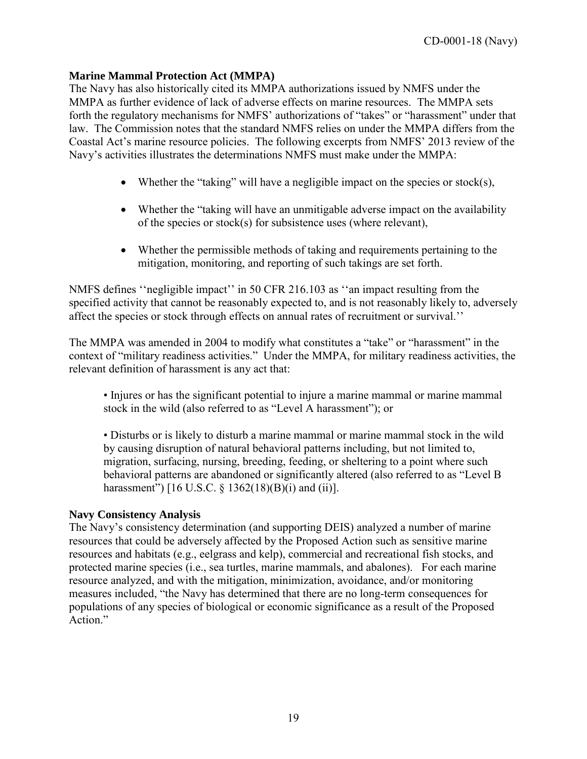### **Marine Mammal Protection Act (MMPA)**

The Navy has also historically cited its MMPA authorizations issued by NMFS under the MMPA as further evidence of lack of adverse effects on marine resources. The MMPA sets forth the regulatory mechanisms for NMFS' authorizations of "takes" or "harassment" under that law. The Commission notes that the standard NMFS relies on under the MMPA differs from the Coastal Act's marine resource policies. The following excerpts from NMFS' 2013 review of the Navy's activities illustrates the determinations NMFS must make under the MMPA:

- Whether the "taking" will have a negligible impact on the species or stock(s),
- Whether the "taking will have an unmitigable adverse impact on the availability of the species or stock(s) for subsistence uses (where relevant),
- Whether the permissible methods of taking and requirements pertaining to the mitigation, monitoring, and reporting of such takings are set forth.

NMFS defines ''negligible impact'' in 50 CFR 216.103 as ''an impact resulting from the specified activity that cannot be reasonably expected to, and is not reasonably likely to, adversely affect the species or stock through effects on annual rates of recruitment or survival.''

The MMPA was amended in 2004 to modify what constitutes a "take" or "harassment" in the context of "military readiness activities." Under the MMPA, for military readiness activities, the relevant definition of harassment is any act that:

• Injures or has the significant potential to injure a marine mammal or marine mammal stock in the wild (also referred to as "Level A harassment"); or

• Disturbs or is likely to disturb a marine mammal or marine mammal stock in the wild by causing disruption of natural behavioral patterns including, but not limited to, migration, surfacing, nursing, breeding, feeding, or sheltering to a point where such behavioral patterns are abandoned or significantly altered (also referred to as "Level B harassment") [16 U.S.C. § 1362(18)(B)(i) and (ii)].

#### **Navy Consistency Analysis**

The Navy's consistency determination (and supporting DEIS) analyzed a number of marine resources that could be adversely affected by the Proposed Action such as sensitive marine resources and habitats (e.g., eelgrass and kelp), commercial and recreational fish stocks, and protected marine species (i.e., sea turtles, marine mammals, and abalones). For each marine resource analyzed, and with the mitigation, minimization, avoidance, and/or monitoring measures included, "the Navy has determined that there are no long-term consequences for populations of any species of biological or economic significance as a result of the Proposed Action<sup>"</sup>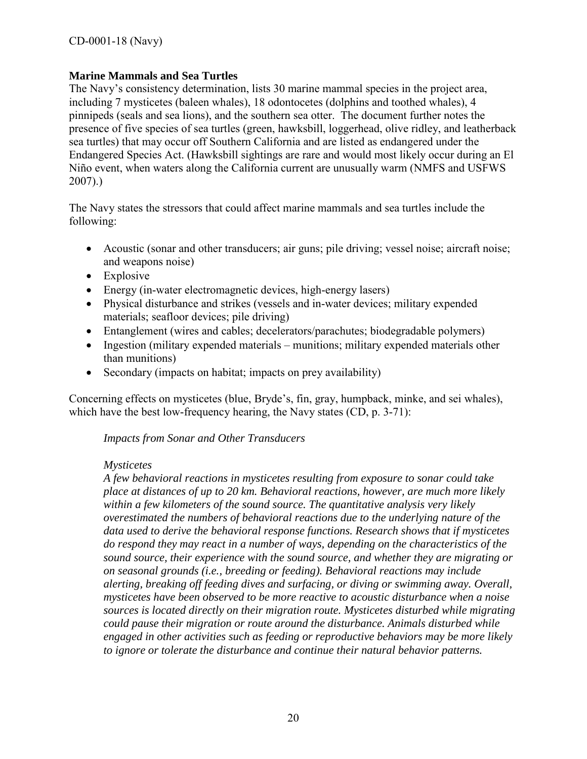#### **Marine Mammals and Sea Turtles**

The Navy's consistency determination, lists 30 marine mammal species in the project area, including 7 mysticetes (baleen whales), 18 odontocetes (dolphins and toothed whales), 4 pinnipeds (seals and sea lions), and the southern sea otter. The document further notes the presence of five species of sea turtles (green, hawksbill, loggerhead, olive ridley, and leatherback sea turtles) that may occur off Southern California and are listed as endangered under the Endangered Species Act. (Hawksbill sightings are rare and would most likely occur during an El Niño event, when waters along the California current are unusually warm (NMFS and USFWS 2007).)

The Navy states the stressors that could affect marine mammals and sea turtles include the following:

- Acoustic (sonar and other transducers; air guns; pile driving; vessel noise; aircraft noise; and weapons noise)
- Explosive
- Energy (in-water electromagnetic devices, high-energy lasers)
- Physical disturbance and strikes (vessels and in-water devices; military expended materials; seafloor devices; pile driving)
- Entanglement (wires and cables; decelerators/parachutes; biodegradable polymers)
- Ingestion (military expended materials munitions; military expended materials other than munitions)
- Secondary (impacts on habitat; impacts on prey availability)

Concerning effects on mysticetes (blue, Bryde's, fin, gray, humpback, minke, and sei whales), which have the best low-frequency hearing, the Navy states (CD, p. 3-71):

#### *Impacts from Sonar and Other Transducers*

#### *Mysticetes*

*A few behavioral reactions in mysticetes resulting from exposure to sonar could take place at distances of up to 20 km. Behavioral reactions, however, are much more likely within a few kilometers of the sound source. The quantitative analysis very likely overestimated the numbers of behavioral reactions due to the underlying nature of the data used to derive the behavioral response functions. Research shows that if mysticetes do respond they may react in a number of ways, depending on the characteristics of the sound source, their experience with the sound source, and whether they are migrating or on seasonal grounds (i.e., breeding or feeding). Behavioral reactions may include alerting, breaking off feeding dives and surfacing, or diving or swimming away. Overall, mysticetes have been observed to be more reactive to acoustic disturbance when a noise sources is located directly on their migration route. Mysticetes disturbed while migrating could pause their migration or route around the disturbance. Animals disturbed while engaged in other activities such as feeding or reproductive behaviors may be more likely to ignore or tolerate the disturbance and continue their natural behavior patterns.*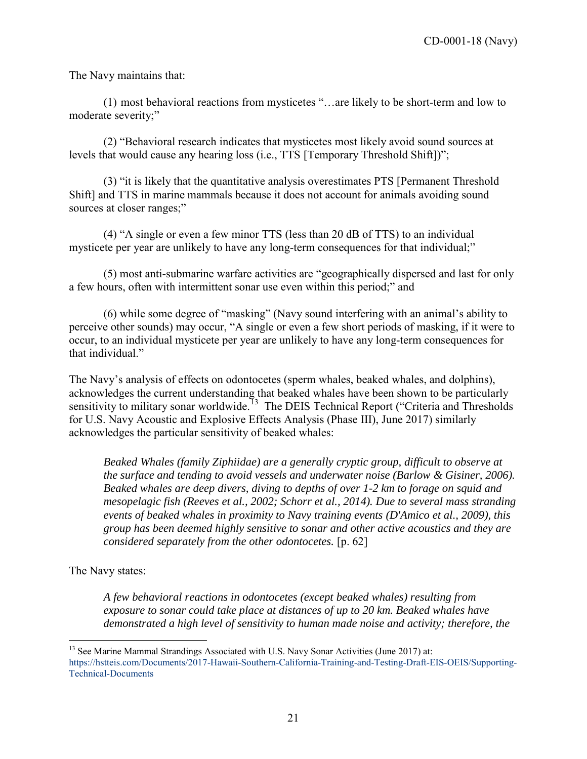The Navy maintains that:

(1) most behavioral reactions from mysticetes "…are likely to be short-term and low to moderate severity;"

(2) "Behavioral research indicates that mysticetes most likely avoid sound sources at levels that would cause any hearing loss (i.e., TTS [Temporary Threshold Shift])";

(3) "it is likely that the quantitative analysis overestimates PTS [Permanent Threshold Shift] and TTS in marine mammals because it does not account for animals avoiding sound sources at closer ranges;"

(4) "A single or even a few minor TTS (less than 20 dB of TTS) to an individual mysticete per year are unlikely to have any long-term consequences for that individual;"

(5) most anti-submarine warfare activities are "geographically dispersed and last for only a few hours, often with intermittent sonar use even within this period;" and

(6) while some degree of "masking" (Navy sound interfering with an animal's ability to perceive other sounds) may occur, "A single or even a few short periods of masking, if it were to occur, to an individual mysticete per year are unlikely to have any long-term consequences for that individual."

The Navy's analysis of effects on odontocetes (sperm whales, beaked whales, and dolphins), acknowledges the current understanding that beaked whales have been shown to be particularly sensitivity to military sonar worldwide.<sup>13</sup> The DEIS Technical Report ("Criteria and Thresholds for U.S. Navy Acoustic and Explosive Effects Analysis (Phase III), June 2017) similarly acknowledges the particular sensitivity of beaked whales:

*Beaked Whales (family Ziphiidae) are a generally cryptic group, difficult to observe at the surface and tending to avoid vessels and underwater noise (Barlow & Gisiner, 2006). Beaked whales are deep divers, diving to depths of over 1-2 km to forage on squid and mesopelagic fish (Reeves et al., 2002; Schorr et al., 2014). Due to several mass stranding events of beaked whales in proximity to Navy training events (D'Amico et al., 2009), this group has been deemed highly sensitive to sonar and other active acoustics and they are considered separately from the other odontocetes.* [p. 62]

The Navy states:

*A few behavioral reactions in odontocetes (except beaked whales) resulting from exposure to sonar could take place at distances of up to 20 km. Beaked whales have demonstrated a high level of sensitivity to human made noise and activity; therefore, the* 

 $\overline{a}$ <sup>13</sup> See Marine Mammal Strandings Associated with U.S. Navy Sonar Activities (June 2017) at:

<span id="page-20-0"></span>[https://hstteis.com/Documents/2017-Hawaii-Southern-California-Training-and-Testing-Draft-EIS-OEIS/Supporting-](https://hstteis.com/Documents/2017-Hawaii-Southern-California-Training-and-Testing-Draft-EIS-OEIS/Supporting-Technical-Documents)[Technical-Documents](https://hstteis.com/Documents/2017-Hawaii-Southern-California-Training-and-Testing-Draft-EIS-OEIS/Supporting-Technical-Documents)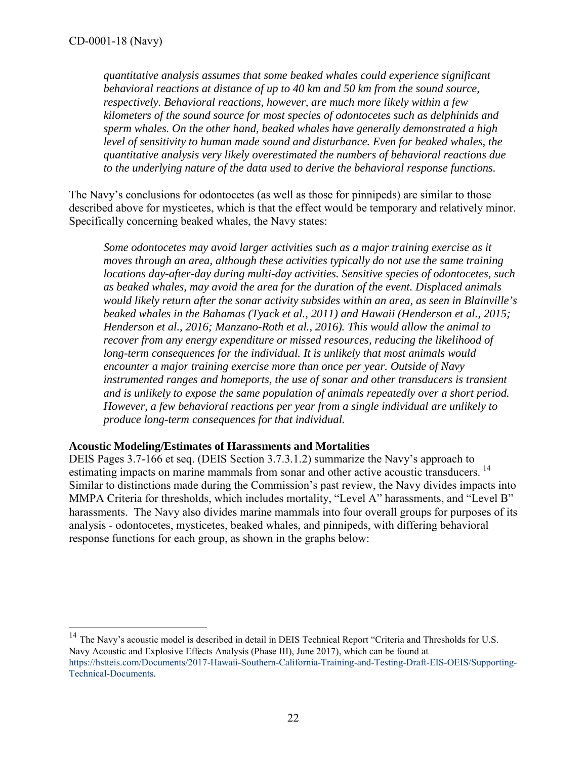$\overline{a}$ 

*quantitative analysis assumes that some beaked whales could experience significant behavioral reactions at distance of up to 40 km and 50 km from the sound source, respectively. Behavioral reactions, however, are much more likely within a few kilometers of the sound source for most species of odontocetes such as delphinids and sperm whales. On the other hand, beaked whales have generally demonstrated a high*  level of sensitivity to human made sound and disturbance. Even for beaked whales, the *quantitative analysis very likely overestimated the numbers of behavioral reactions due to the underlying nature of the data used to derive the behavioral response functions.* 

The Navy's conclusions for odontocetes (as well as those for pinnipeds) are similar to those described above for mysticetes, which is that the effect would be temporary and relatively minor. Specifically concerning beaked whales, the Navy states:

*Some odontocetes may avoid larger activities such as a major training exercise as it moves through an area, although these activities typically do not use the same training locations day-after-day during multi-day activities. Sensitive species of odontocetes, such as beaked whales, may avoid the area for the duration of the event. Displaced animals would likely return after the sonar activity subsides within an area, as seen in Blainville's beaked whales in the Bahamas (Tyack et al., 2011) and Hawaii (Henderson et al., 2015; Henderson et al., 2016; Manzano-Roth et al., 2016). This would allow the animal to recover from any energy expenditure or missed resources, reducing the likelihood of long-term consequences for the individual. It is unlikely that most animals would encounter a major training exercise more than once per year. Outside of Navy instrumented ranges and homeports, the use of sonar and other transducers is transient and is unlikely to expose the same population of animals repeatedly over a short period. However, a few behavioral reactions per year from a single individual are unlikely to produce long-term consequences for that individual.* 

### **Acoustic Modeling/Estimates of Harassments and Mortalities**

DEIS Pages 3.7-166 et seq. (DEIS Section 3.7.3.1.2) summarize the Navy's approach to estimating impacts on marine mammals from sonar and other active acoustic transducers.<sup>[14](#page-21-0)</sup> Similar to distinctions made during the Commission's past review, the Navy divides impacts into MMPA Criteria for thresholds, which includes mortality, "Level A" harassments, and "Level B" harassments. The Navy also divides marine mammals into four overall groups for purposes of its analysis - odontocetes, mysticetes, beaked whales, and pinnipeds, with differing behavioral response functions for each group, as shown in the graphs below:

<span id="page-21-0"></span><sup>&</sup>lt;sup>14</sup> The Navy's acoustic model is described in detail in DEIS Technical Report "Criteria and Thresholds for U.S. Navy Acoustic and Explosive Effects Analysis (Phase III), June 2017), which can be found at [https://hstteis.com/Documents/2017-Hawaii-Southern-California-Training-and-Testing-Draft-EIS-OEIS/Supporting-](https://hstteis.com/Documents/2017-Hawaii-Southern-California-Training-and-Testing-Draft-EIS-OEIS/Supporting-Technical-Documents)[Technical-Documents.](https://hstteis.com/Documents/2017-Hawaii-Southern-California-Training-and-Testing-Draft-EIS-OEIS/Supporting-Technical-Documents)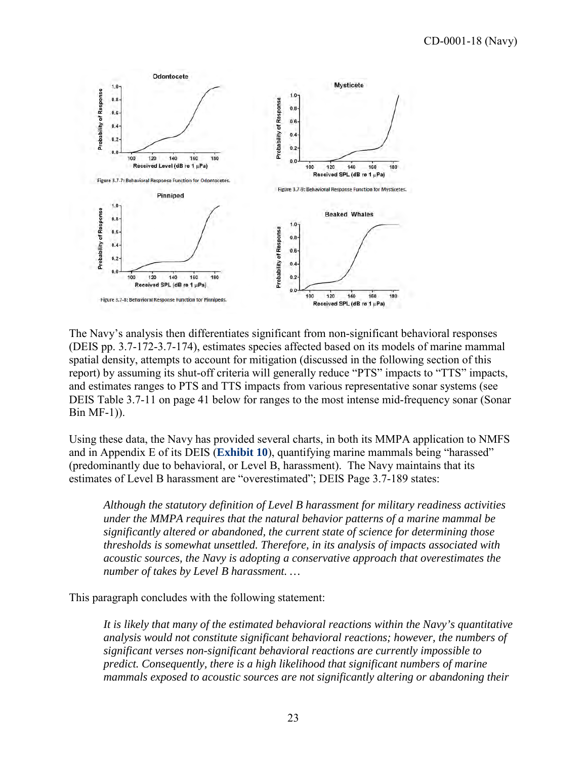

The Navy's analysis then differentiates significant from non-significant behavioral responses (DEIS pp. 3.7-172-3.7-174), estimates species affected based on its models of marine mammal spatial density, attempts to account for mitigation (discussed in the following section of this report) by assuming its shut-off criteria will generally reduce "PTS" impacts to "TTS" impacts, and estimates ranges to PTS and TTS impacts from various representative sonar systems (see DEIS Table 3.7-11 on page 41 below for ranges to the most intense mid-frequency sonar (Sonar Bin MF-1)).

Using these data, the Navy has provided several charts, in both its MMPA application to NMFS and in Appendix E of its DEIS (**[Exhibit 10](https://documents.coastal.ca.gov/reports/2018/6/w14b/w14b-6-2018-exhibits.pdf)**), quantifying marine mammals being "harassed" (predominantly due to behavioral, or Level B, harassment). The Navy maintains that its estimates of Level B harassment are "overestimated"; DEIS Page 3.7-189 states:

*Although the statutory definition of Level B harassment for military readiness activities under the MMPA requires that the natural behavior patterns of a marine mammal be significantly altered or abandoned, the current state of science for determining those thresholds is somewhat unsettled. Therefore, in its analysis of impacts associated with acoustic sources, the Navy is adopting a conservative approach that overestimates the number of takes by Level B harassment. …* 

This paragraph concludes with the following statement:

*It is likely that many of the estimated behavioral reactions within the Navy's quantitative analysis would not constitute significant behavioral reactions; however, the numbers of significant verses non-significant behavioral reactions are currently impossible to predict. Consequently, there is a high likelihood that significant numbers of marine mammals exposed to acoustic sources are not significantly altering or abandoning their*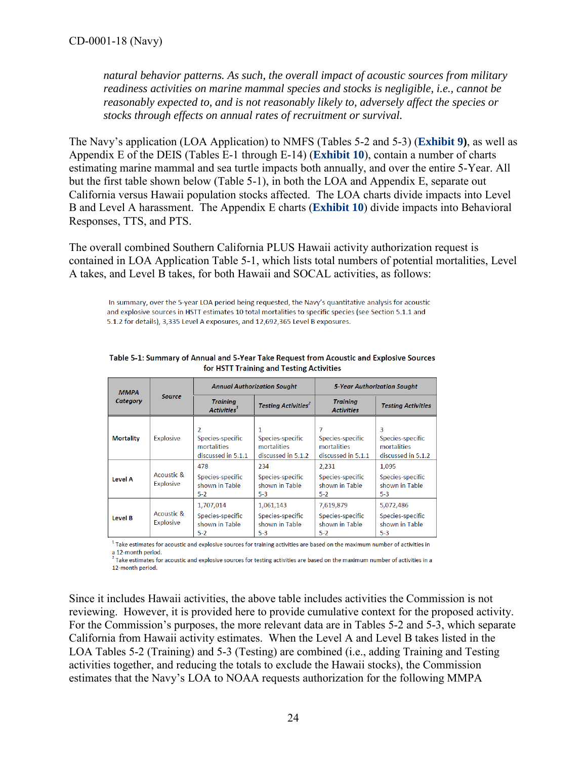*natural behavior patterns. As such, the overall impact of acoustic sources from military readiness activities on marine mammal species and stocks is negligible, i.e., cannot be reasonably expected to, and is not reasonably likely to, adversely affect the species or stocks through effects on annual rates of recruitment or survival.* 

The Navy's application (LOA Application) to NMFS (Tables 5-2 and 5-3) (**[Exhibit 9\)](https://documents.coastal.ca.gov/reports/2018/6/w14b/w14b-6-2018-exhibits.pdf)**, as well as Appendix E of the DEIS (Tables E-1 through E-14) (**[Exhibit 10](https://documents.coastal.ca.gov/reports/2018/6/w14b/w14b-6-2018-exhibits.pdf)**), contain a number of charts estimating marine mammal and sea turtle impacts both annually, and over the entire 5-Year. All but the first table shown below (Table 5-1), in both the LOA and Appendix E, separate out California versus Hawaii population stocks affected. The LOA charts divide impacts into Level B and Level A harassment. The Appendix E charts (**[Exhibit 10](https://documents.coastal.ca.gov/reports/2018/6/w14b/w14b-6-2018-exhibits.pdf)**) divide impacts into Behavioral Responses, TTS, and PTS.

The overall combined Southern California PLUS Hawaii activity authorization request is contained in LOA Application Table 5-1, which lists total numbers of potential mortalities, Level A takes, and Level B takes, for both Hawaii and SOCAL activities, as follows:

In summary, over the 5-year LOA period being requested, the Navy's quantitative analysis for acoustic and explosive sources in HSTT estimates 10 total mortalities to specific species (see Section 5.1.1 and 5.1.2 for details), 3,335 Level A exposures, and 12,692,365 Level B exposures.

| <b>MMPA</b>      |                                |                                                            | <b>Annual Authorization Sought</b>                         | <b>5-Year Authorization Sought</b>                       |                                                            |  |
|------------------|--------------------------------|------------------------------------------------------------|------------------------------------------------------------|----------------------------------------------------------|------------------------------------------------------------|--|
| Category         | <b>Source</b>                  | <b>Training</b><br>Activities <sup>1</sup>                 | <b>Testing Activities<sup>2</sup></b>                      | <b>Training</b><br><b>Activities</b>                     | <b>Testing Activities</b>                                  |  |
| <b>Mortality</b> | <b>Explosive</b>               | 2<br>Species-specific<br>mortalities<br>discussed in 5.1.1 | 1<br>Species-specific<br>mortalities<br>discussed in 5.1.2 | Species-specific<br>mortalities<br>discussed in 5.1.1    | 3<br>Species-specific<br>mortalities<br>discussed in 5.1.2 |  |
| <b>Level A</b>   | Acoustic &<br><b>Explosive</b> | 478<br>Species-specific<br>shown in Table<br>$5-2$         | 234<br>Species-specific<br>shown in Table<br>$5-3$         | 2,231<br>Species-specific<br>shown in Table<br>$5-2$     | 1,095<br>Species-specific<br>shown in Table<br>$5-3$       |  |
| <b>Level B</b>   | Acoustic &<br><b>Explosive</b> | 1,707,014<br>Species-specific<br>shown in Table<br>$5-2$   | 1,061,143<br>Species-specific<br>shown in Table<br>$5-3$   | 7,619,879<br>Species-specific<br>shown in Table<br>$5-2$ | 5,072,486<br>Species-specific<br>shown in Table<br>$5-3$   |  |

Table 5-1: Summary of Annual and 5-Year Take Request from Acoustic and Explosive Sources for HSTT Training and Testing Activities

<sup>1</sup> Take estimates for acoustic and explosive sources for training activities are based on the maximum number of activities in

a 12-month period.<br>
Take estimates for acoustic and explosive sources for testing activities are based on the maximum number of activities in a 12-month period.

Since it includes Hawaii activities, the above table includes activities the Commission is not reviewing. However, it is provided here to provide cumulative context for the proposed activity. For the Commission's purposes, the more relevant data are in Tables 5-2 and 5-3, which separate California from Hawaii activity estimates. When the Level A and Level B takes listed in the LOA Tables 5-2 (Training) and 5-3 (Testing) are combined (i.e., adding Training and Testing activities together, and reducing the totals to exclude the Hawaii stocks), the Commission estimates that the Navy's LOA to NOAA requests authorization for the following MMPA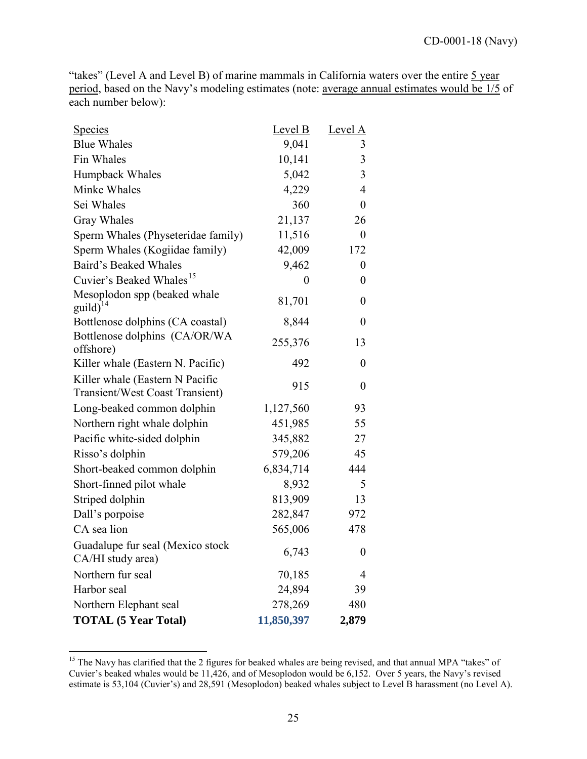"takes" (Level A and Level B) of marine mammals in California waters over the entire 5 year period, based on the Navy's modeling estimates (note: average annual estimates would be 1/5 of each number below):

| <u>Species</u>                                                            | Level B        | Level A          |
|---------------------------------------------------------------------------|----------------|------------------|
| <b>Blue Whales</b>                                                        | 9,041          | 3                |
| Fin Whales                                                                | 10,141         | $\mathfrak{Z}$   |
| Humpback Whales                                                           | 5,042          | 3                |
| Minke Whales                                                              | 4,229          | 4                |
| Sei Whales                                                                | 360            | $\boldsymbol{0}$ |
| <b>Gray Whales</b>                                                        | 21,137         | 26               |
| Sperm Whales (Physeteridae family)                                        | 11,516         | 0                |
| Sperm Whales (Kogiidae family)                                            | 42,009         | 172              |
| Baird's Beaked Whales                                                     | 9,462          | $\boldsymbol{0}$ |
| Cuvier's Beaked Whales <sup>15</sup>                                      | $\overline{0}$ | 0                |
| Mesoplodon spp (beaked whale<br>$\text{guid}\right)^{14}$                 | 81,701         | $\boldsymbol{0}$ |
| Bottlenose dolphins (CA coastal)                                          | 8,844          | $\boldsymbol{0}$ |
| Bottlenose dolphins (CA/OR/WA<br>offshore)                                | 255,376        | 13               |
| Killer whale (Eastern N. Pacific)                                         | 492            | $\boldsymbol{0}$ |
| Killer whale (Eastern N Pacific<br><b>Transient/West Coast Transient)</b> | 915            | $\boldsymbol{0}$ |
| Long-beaked common dolphin                                                | 1,127,560      | 93               |
| Northern right whale dolphin                                              | 451,985        | 55               |
| Pacific white-sided dolphin                                               | 345,882        | 27               |
| Risso's dolphin                                                           | 579,206        | 45               |
| Short-beaked common dolphin                                               | 6,834,714      | 444              |
| Short-finned pilot whale                                                  | 8,932          | 5                |
| Striped dolphin                                                           | 813,909        | 13               |
| Dall's porpoise                                                           | 282,847        | 972              |
| CA sea lion                                                               | 565,006        | 478              |
| Guadalupe fur seal (Mexico stock<br>CA/HI study area)                     | 6,743          | $\overline{0}$   |
| Northern fur seal                                                         | 70,185         | 4                |
| Harbor seal                                                               | 24,894         | 39               |
| Northern Elephant seal                                                    | 278,269        | 480              |
| <b>TOTAL (5 Year Total)</b>                                               | 11,850,397     | 2,879            |

<span id="page-24-0"></span> $\overline{a}$ <sup>15</sup> The Navy has clarified that the 2 figures for beaked whales are being revised, and that annual MPA "takes" of Cuvier's beaked whales would be 11,426, and of Mesoplodon would be 6,152. Over 5 years, the Navy's revised estimate is 53,104 (Cuvier's) and 28,591 (Mesoplodon) beaked whales subject to Level B harassment (no Level A).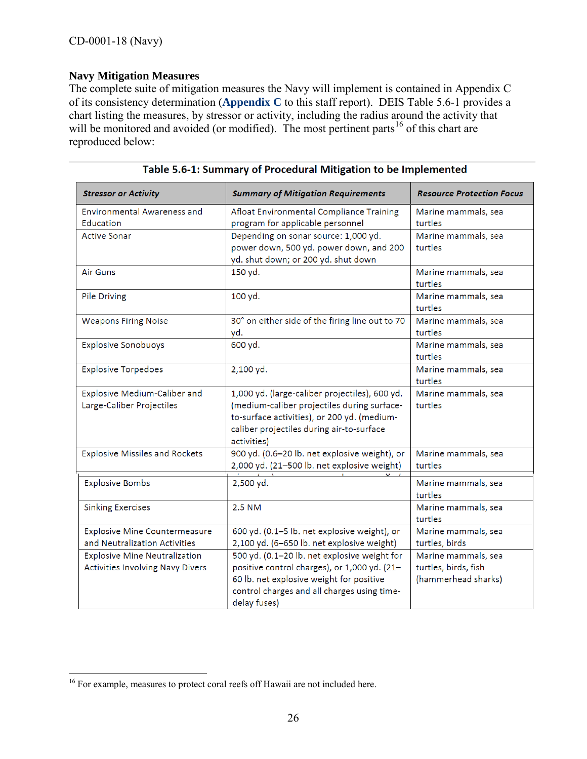## **Navy Mitigation Measures**

The complete suite of mitigation measures the Navy will implement is contained in Appendix C of its consistency determination (**[Appendix C](https://documents.coastal.ca.gov/reports/2018/6/w14b/w14b-6-2018-appendix.pdf)** to this staff report). DEIS Table 5.6-1 provides a chart listing the measures, by stressor or activity, including the radius around the activity that will be monitored and avoided (or modified). The most pertinent parts<sup>[16](#page-25-0)</sup> of this chart are reproduced below:

| <b>Stressor or Activity</b>                                              | <b>Summary of Mitigation Requirements</b>                                                                                                                                                                | <b>Resource Protection Focus</b>                                   |
|--------------------------------------------------------------------------|----------------------------------------------------------------------------------------------------------------------------------------------------------------------------------------------------------|--------------------------------------------------------------------|
| <b>Environmental Awareness and</b><br>Education                          | Afloat Environmental Compliance Training<br>program for applicable personnel                                                                                                                             | Marine mammals, sea<br>turtles                                     |
| <b>Active Sonar</b>                                                      | Depending on sonar source: 1,000 yd.<br>power down, 500 yd. power down, and 200<br>yd. shut down; or 200 yd. shut down                                                                                   | Marine mammals, sea<br>turtles                                     |
| <b>Air Guns</b>                                                          | 150 yd.                                                                                                                                                                                                  | Marine mammals, sea<br>turtles                                     |
| Pile Driving                                                             | 100 yd.                                                                                                                                                                                                  | Marine mammals, sea<br>turtles                                     |
| <b>Weapons Firing Noise</b>                                              | 30° on either side of the firing line out to 70<br>yd.                                                                                                                                                   | Marine mammals, sea<br>turtles                                     |
| <b>Explosive Sonobuoys</b>                                               | 600 yd.                                                                                                                                                                                                  | Marine mammals, sea<br>turtles                                     |
| <b>Explosive Torpedoes</b>                                               | 2,100 yd.                                                                                                                                                                                                | Marine mammals, sea<br>turtles                                     |
| Explosive Medium-Caliber and<br>Large-Caliber Projectiles                | 1,000 yd. (large-caliber projectiles), 600 yd.<br>(medium-caliber projectiles during surface-<br>to-surface activities), or 200 yd. (medium-<br>caliber projectiles during air-to-surface<br>activities) | Marine mammals, sea<br>turtles                                     |
| <b>Explosive Missiles and Rockets</b>                                    | 900 yd. (0.6-20 lb. net explosive weight), or<br>2,000 yd. (21-500 lb. net explosive weight)                                                                                                             | Marine mammals, sea<br>turtles                                     |
| <b>Explosive Bombs</b>                                                   | 2,500 yd.                                                                                                                                                                                                | Marine mammals, sea<br>turtles                                     |
| <b>Sinking Exercises</b>                                                 | 2.5 NM                                                                                                                                                                                                   | Marine mammals, sea<br>turtles                                     |
| Explosive Mine Countermeasure<br>and Neutralization Activities           | 600 yd. (0.1-5 lb. net explosive weight), or<br>2,100 yd. (6-650 lb. net explosive weight)                                                                                                               | Marine mammals, sea<br>turtles, birds                              |
| <b>Explosive Mine Neutralization</b><br>Activities Involving Navy Divers | 500 yd. (0.1-20 lb. net explosive weight for<br>positive control charges), or 1,000 yd. (21-<br>60 lb. net explosive weight for positive<br>control charges and all charges using time-<br>delay fuses)  | Marine mammals, sea<br>turtles, birds, fish<br>(hammerhead sharks) |

 $\overline{a}$ 

<span id="page-25-0"></span><sup>&</sup>lt;sup>16</sup> For example, measures to protect coral reefs off Hawaii are not included here.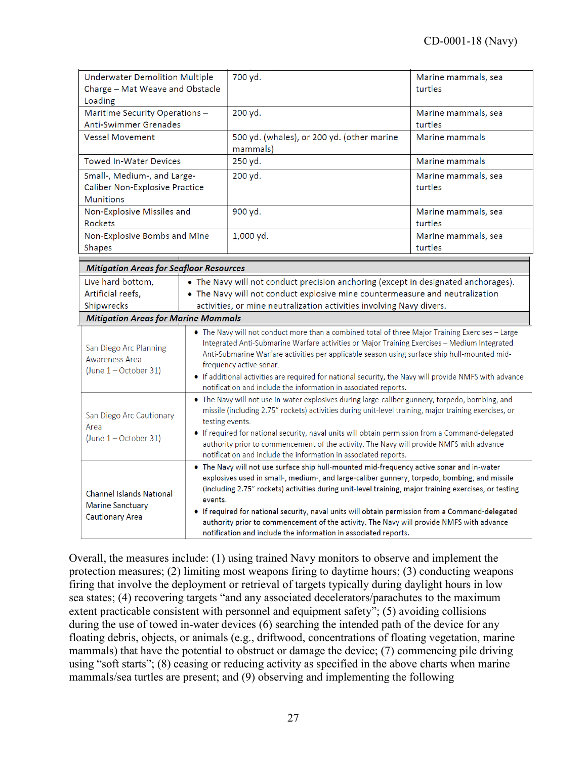| Underwater Demolition Multiple<br>Charge - Mat Weave and Obstacle<br>Loading                                                                                                                                                                                                                                                                                                                                                                                                                                                                                                    |                                                                                                                                                                                                                                                                                                                                                                                                                                                                                                | 700 yd.                                                                                                                                                                                                                                                                                                                                                                                                                                                                                                                                                               | Marine mammals, sea<br>turtles |
|---------------------------------------------------------------------------------------------------------------------------------------------------------------------------------------------------------------------------------------------------------------------------------------------------------------------------------------------------------------------------------------------------------------------------------------------------------------------------------------------------------------------------------------------------------------------------------|------------------------------------------------------------------------------------------------------------------------------------------------------------------------------------------------------------------------------------------------------------------------------------------------------------------------------------------------------------------------------------------------------------------------------------------------------------------------------------------------|-----------------------------------------------------------------------------------------------------------------------------------------------------------------------------------------------------------------------------------------------------------------------------------------------------------------------------------------------------------------------------------------------------------------------------------------------------------------------------------------------------------------------------------------------------------------------|--------------------------------|
| Maritime Security Operations -<br>Anti-Swimmer Grenades                                                                                                                                                                                                                                                                                                                                                                                                                                                                                                                         |                                                                                                                                                                                                                                                                                                                                                                                                                                                                                                | 200 yd.                                                                                                                                                                                                                                                                                                                                                                                                                                                                                                                                                               | Marine mammals, sea<br>turtles |
| <b>Vessel Movement</b>                                                                                                                                                                                                                                                                                                                                                                                                                                                                                                                                                          |                                                                                                                                                                                                                                                                                                                                                                                                                                                                                                | 500 yd. (whales), or 200 yd. (other marine<br>mammals)                                                                                                                                                                                                                                                                                                                                                                                                                                                                                                                | Marine mammals                 |
| <b>Towed In-Water Devices</b>                                                                                                                                                                                                                                                                                                                                                                                                                                                                                                                                                   |                                                                                                                                                                                                                                                                                                                                                                                                                                                                                                | 250 yd.                                                                                                                                                                                                                                                                                                                                                                                                                                                                                                                                                               | Marine mammals                 |
| Small-, Medium-, and Large-<br>Caliber Non-Explosive Practice<br><b>Munitions</b>                                                                                                                                                                                                                                                                                                                                                                                                                                                                                               |                                                                                                                                                                                                                                                                                                                                                                                                                                                                                                | 200 yd.                                                                                                                                                                                                                                                                                                                                                                                                                                                                                                                                                               | Marine mammals, sea<br>turtles |
| Non-Explosive Missiles and<br><b>Rockets</b>                                                                                                                                                                                                                                                                                                                                                                                                                                                                                                                                    |                                                                                                                                                                                                                                                                                                                                                                                                                                                                                                | 900 yd.                                                                                                                                                                                                                                                                                                                                                                                                                                                                                                                                                               | Marine mammals, sea<br>turtles |
| Non-Explosive Bombs and Mine<br>Shapes                                                                                                                                                                                                                                                                                                                                                                                                                                                                                                                                          |                                                                                                                                                                                                                                                                                                                                                                                                                                                                                                | 1,000 yd.                                                                                                                                                                                                                                                                                                                                                                                                                                                                                                                                                             | Marine mammals, sea<br>turtles |
| <b>Mitigation Areas for Seafloor Resources</b>                                                                                                                                                                                                                                                                                                                                                                                                                                                                                                                                  |                                                                                                                                                                                                                                                                                                                                                                                                                                                                                                |                                                                                                                                                                                                                                                                                                                                                                                                                                                                                                                                                                       |                                |
| Live hard bottom,                                                                                                                                                                                                                                                                                                                                                                                                                                                                                                                                                               |                                                                                                                                                                                                                                                                                                                                                                                                                                                                                                | • The Navy will not conduct precision anchoring (except in designated anchorages).                                                                                                                                                                                                                                                                                                                                                                                                                                                                                    |                                |
| Artificial reefs,                                                                                                                                                                                                                                                                                                                                                                                                                                                                                                                                                               |                                                                                                                                                                                                                                                                                                                                                                                                                                                                                                | • The Navy will not conduct explosive mine countermeasure and neutralization                                                                                                                                                                                                                                                                                                                                                                                                                                                                                          |                                |
| Shipwrecks<br>activities, or mine neutralization activities involving Navy divers.                                                                                                                                                                                                                                                                                                                                                                                                                                                                                              |                                                                                                                                                                                                                                                                                                                                                                                                                                                                                                |                                                                                                                                                                                                                                                                                                                                                                                                                                                                                                                                                                       |                                |
| <b>Mitigation Areas for Marine Mammals</b>                                                                                                                                                                                                                                                                                                                                                                                                                                                                                                                                      |                                                                                                                                                                                                                                                                                                                                                                                                                                                                                                |                                                                                                                                                                                                                                                                                                                                                                                                                                                                                                                                                                       |                                |
| • The Navy will not conduct more than a combined total of three Major Training Exercises - Large<br>Integrated Anti-Submarine Warfare activities or Major Training Exercises - Medium Integrated<br>San Diego Arc Planning<br>Anti-Submarine Warfare activities per applicable season using surface ship hull-mounted mid-<br>Awareness Area<br>frequency active sonar.<br>$(June 1 - October 31)$<br>• If additional activities are required for national security, the Navy will provide NMFS with advance<br>notification and include the information in associated reports. |                                                                                                                                                                                                                                                                                                                                                                                                                                                                                                |                                                                                                                                                                                                                                                                                                                                                                                                                                                                                                                                                                       |                                |
| San Diego Arc Cautionary<br>Area<br>(June $1 -$ October 31)                                                                                                                                                                                                                                                                                                                                                                                                                                                                                                                     | • The Navy will not use in-water explosives during large-caliber gunnery, torpedo, bombing, and<br>missile (including 2.75" rockets) activities during unit-level training, major training exercises, or<br>testing events.<br>• If required for national security, naval units will obtain permission from a Command-delegated<br>authority prior to commencement of the activity. The Navy will provide NMFS with advance<br>notification and include the information in associated reports. |                                                                                                                                                                                                                                                                                                                                                                                                                                                                                                                                                                       |                                |
| <b>Channel Islands National</b><br><b>Marine Sanctuary</b><br><b>Cautionary Area</b>                                                                                                                                                                                                                                                                                                                                                                                                                                                                                            | events.                                                                                                                                                                                                                                                                                                                                                                                                                                                                                        | . The Navy will not use surface ship hull-mounted mid-frequency active sonar and in-water<br>explosives used in small-, medium-, and large-caliber gunnery; torpedo; bombing; and missile<br>(including 2.75" rockets) activities during unit-level training, major training exercises, or testing<br>. If required for national security, naval units will obtain permission from a Command-delegated<br>authority prior to commencement of the activity. The Navy will provide NMFS with advance<br>notification and include the information in associated reports. |                                |

Overall, the measures include: (1) using trained Navy monitors to observe and implement the protection measures; (2) limiting most weapons firing to daytime hours; (3) conducting weapons firing that involve the deployment or retrieval of targets typically during daylight hours in low sea states; (4) recovering targets "and any associated decelerators/parachutes to the maximum extent practicable consistent with personnel and equipment safety"; (5) avoiding collisions during the use of towed in-water devices (6) searching the intended path of the device for any floating debris, objects, or animals (e.g., driftwood, concentrations of floating vegetation, marine mammals) that have the potential to obstruct or damage the device; (7) commencing pile driving using "soft starts"; (8) ceasing or reducing activity as specified in the above charts when marine mammals/sea turtles are present; and (9) observing and implementing the following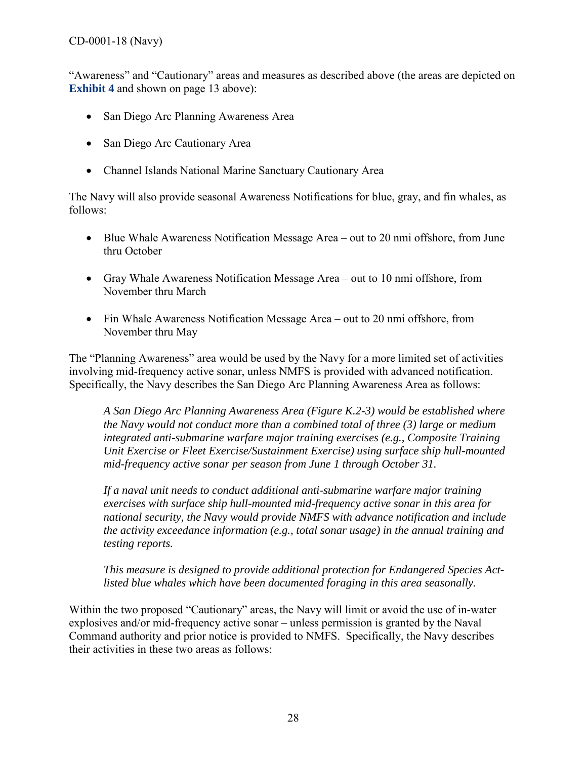"Awareness" and "Cautionary" areas and measures as described above (the areas are depicted on **[Exhibit](https://documents.coastal.ca.gov/reports/2018/6/w14b/w14b-6-2018-exhibits.pdf) 4** and shown on page 13 above):

- San Diego Arc Planning Awareness Area
- San Diego Arc Cautionary Area
- Channel Islands National Marine Sanctuary Cautionary Area

The Navy will also provide seasonal Awareness Notifications for blue, gray, and fin whales, as follows:

- Blue Whale Awareness Notification Message Area out to 20 nmi offshore, from June thru October
- Gray Whale Awareness Notification Message Area out to 10 nmi offshore, from November thru March
- Fin Whale Awareness Notification Message Area out to 20 nmi offshore, from November thru May

The "Planning Awareness" area would be used by the Navy for a more limited set of activities involving mid-frequency active sonar, unless NMFS is provided with advanced notification. Specifically, the Navy describes the San Diego Arc Planning Awareness Area as follows:

*A San Diego Arc Planning Awareness Area (Figure K.2-3) would be established where the Navy would not conduct more than a combined total of three (3) large or medium integrated anti-submarine warfare major training exercises (e.g., Composite Training Unit Exercise or Fleet Exercise/Sustainment Exercise) using surface ship hull-mounted mid-frequency active sonar per season from June 1 through October 31.* 

*If a naval unit needs to conduct additional anti-submarine warfare major training exercises with surface ship hull-mounted mid-frequency active sonar in this area for national security, the Navy would provide NMFS with advance notification and include the activity exceedance information (e.g., total sonar usage) in the annual training and testing reports.* 

*This measure is designed to provide additional protection for Endangered Species Actlisted blue whales which have been documented foraging in this area seasonally.* 

Within the two proposed "Cautionary" areas, the Navy will limit or avoid the use of in-water explosives and/or mid-frequency active sonar – unless permission is granted by the Naval Command authority and prior notice is provided to NMFS. Specifically, the Navy describes their activities in these two areas as follows: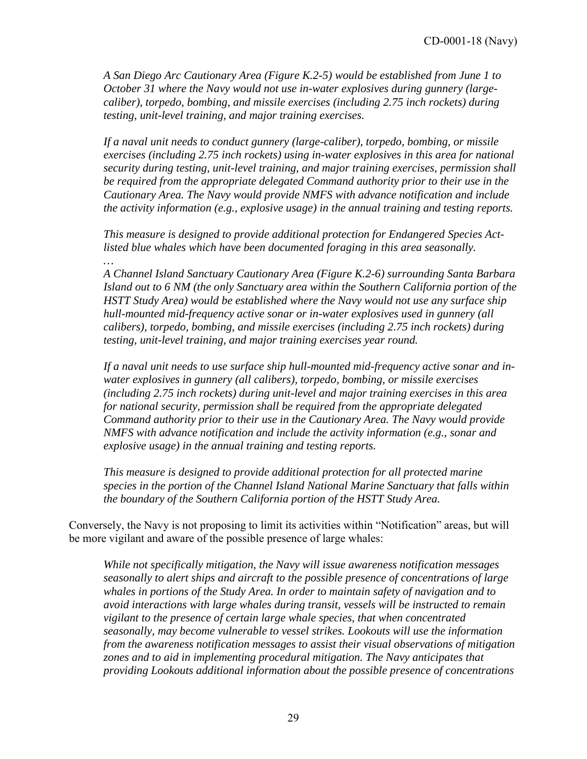*A San Diego Arc Cautionary Area (Figure K.2-5) would be established from June 1 to October 31 where the Navy would not use in-water explosives during gunnery (largecaliber), torpedo, bombing, and missile exercises (including 2.75 inch rockets) during testing, unit-level training, and major training exercises.* 

*If a naval unit needs to conduct gunnery (large-caliber), torpedo, bombing, or missile exercises (including 2.75 inch rockets) using in-water explosives in this area for national security during testing, unit-level training, and major training exercises, permission shall be required from the appropriate delegated Command authority prior to their use in the Cautionary Area. The Navy would provide NMFS with advance notification and include the activity information (e.g., explosive usage) in the annual training and testing reports.* 

*This measure is designed to provide additional protection for Endangered Species Actlisted blue whales which have been documented foraging in this area seasonally. …* 

*A Channel Island Sanctuary Cautionary Area (Figure K.2-6) surrounding Santa Barbara Island out to 6 NM (the only Sanctuary area within the Southern California portion of the HSTT Study Area) would be established where the Navy would not use any surface ship hull-mounted mid-frequency active sonar or in-water explosives used in gunnery (all calibers), torpedo, bombing, and missile exercises (including 2.75 inch rockets) during testing, unit-level training, and major training exercises year round.* 

*If a naval unit needs to use surface ship hull-mounted mid-frequency active sonar and inwater explosives in gunnery (all calibers), torpedo, bombing, or missile exercises (including 2.75 inch rockets) during unit-level and major training exercises in this area for national security, permission shall be required from the appropriate delegated Command authority prior to their use in the Cautionary Area. The Navy would provide NMFS with advance notification and include the activity information (e.g., sonar and explosive usage) in the annual training and testing reports.* 

*This measure is designed to provide additional protection for all protected marine species in the portion of the Channel Island National Marine Sanctuary that falls within the boundary of the Southern California portion of the HSTT Study Area.*

Conversely, the Navy is not proposing to limit its activities within "Notification" areas, but will be more vigilant and aware of the possible presence of large whales:

*While not specifically mitigation, the Navy will issue awareness notification messages seasonally to alert ships and aircraft to the possible presence of concentrations of large whales in portions of the Study Area. In order to maintain safety of navigation and to avoid interactions with large whales during transit, vessels will be instructed to remain vigilant to the presence of certain large whale species, that when concentrated seasonally, may become vulnerable to vessel strikes. Lookouts will use the information from the awareness notification messages to assist their visual observations of mitigation zones and to aid in implementing procedural mitigation. The Navy anticipates that providing Lookouts additional information about the possible presence of concentrations*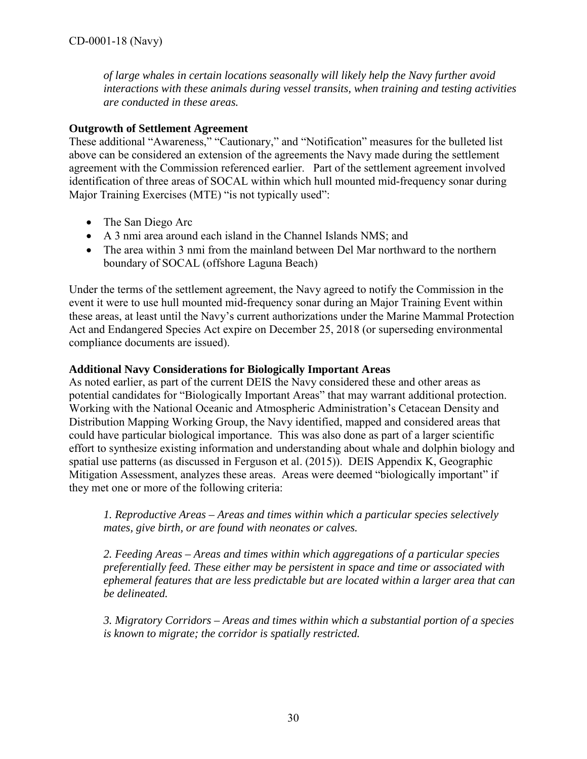*of large whales in certain locations seasonally will likely help the Navy further avoid interactions with these animals during vessel transits, when training and testing activities are conducted in these areas.* 

### **Outgrowth of Settlement Agreement**

These additional "Awareness," "Cautionary," and "Notification" measures for the bulleted list above can be considered an extension of the agreements the Navy made during the settlement agreement with the Commission referenced earlier. Part of the settlement agreement involved identification of three areas of SOCAL within which hull mounted mid-frequency sonar during Major Training Exercises (MTE) "is not typically used":

- The San Diego Arc
- A 3 nmi area around each island in the Channel Islands NMS; and
- The area within 3 nmi from the mainland between Del Mar northward to the northern boundary of SOCAL (offshore Laguna Beach)

Under the terms of the settlement agreement, the Navy agreed to notify the Commission in the event it were to use hull mounted mid-frequency sonar during an Major Training Event within these areas, at least until the Navy's current authorizations under the Marine Mammal Protection Act and Endangered Species Act expire on December 25, 2018 (or superseding environmental compliance documents are issued).

### **Additional Navy Considerations for Biologically Important Areas**

As noted earlier, as part of the current DEIS the Navy considered these and other areas as potential candidates for "Biologically Important Areas" that may warrant additional protection. Working with the National Oceanic and Atmospheric Administration's Cetacean Density and Distribution Mapping Working Group, the Navy identified, mapped and considered areas that could have particular biological importance. This was also done as part of a larger scientific effort to synthesize existing information and understanding about whale and dolphin biology and spatial use patterns (as discussed in Ferguson et al. (2015)). DEIS Appendix K, Geographic Mitigation Assessment, analyzes these areas. Areas were deemed "biologically important" if they met one or more of the following criteria:

*1. Reproductive Areas – Areas and times within which a particular species selectively mates, give birth, or are found with neonates or calves.* 

*2. Feeding Areas – Areas and times within which aggregations of a particular species preferentially feed. These either may be persistent in space and time or associated with ephemeral features that are less predictable but are located within a larger area that can be delineated.* 

*3. Migratory Corridors – Areas and times within which a substantial portion of a species is known to migrate; the corridor is spatially restricted.*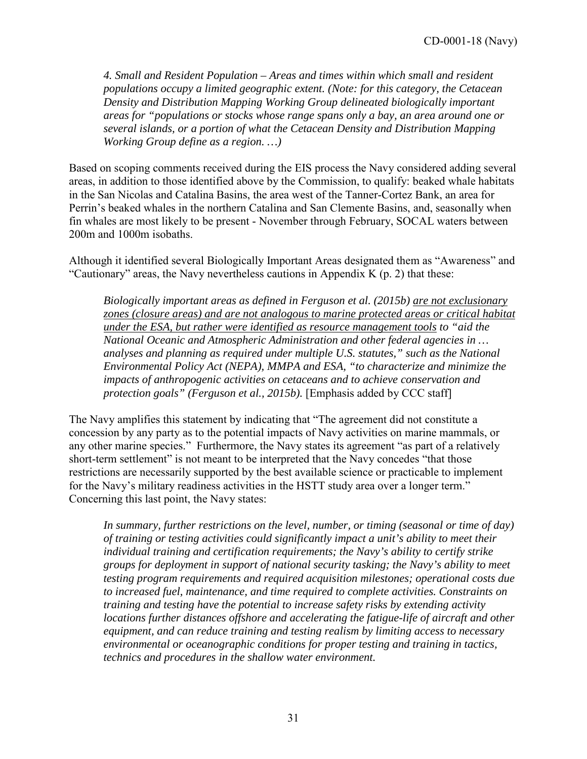*4. Small and Resident Population – Areas and times within which small and resident populations occupy a limited geographic extent. (Note: for this category, the Cetacean Density and Distribution Mapping Working Group delineated biologically important areas for "populations or stocks whose range spans only a bay, an area around one or several islands, or a portion of what the Cetacean Density and Distribution Mapping Working Group define as a region. …)* 

Based on scoping comments received during the EIS process the Navy considered adding several areas, in addition to those identified above by the Commission, to qualify: beaked whale habitats in the San Nicolas and Catalina Basins, the area west of the Tanner-Cortez Bank, an area for Perrin's beaked whales in the northern Catalina and San Clemente Basins, and, seasonally when fin whales are most likely to be present - November through February, SOCAL waters between 200m and 1000m isobaths.

Although it identified several Biologically Important Areas designated them as "Awareness" and "Cautionary" areas, the Navy nevertheless cautions in Appendix  $K(p, 2)$  that these:

*Biologically important areas as defined in Ferguson et al. (2015b) are not exclusionary zones (closure areas) and are not analogous to marine protected areas or critical habitat under the ESA, but rather were identified as resource management tools to "aid the National Oceanic and Atmospheric Administration and other federal agencies in … analyses and planning as required under multiple U.S. statutes," such as the National Environmental Policy Act (NEPA), MMPA and ESA, "to characterize and minimize the impacts of anthropogenic activities on cetaceans and to achieve conservation and protection goals" (Ferguson et al., 2015b).* [Emphasis added by CCC staff]

The Navy amplifies this statement by indicating that "The agreement did not constitute a concession by any party as to the potential impacts of Navy activities on marine mammals, or any other marine species." Furthermore, the Navy states its agreement "as part of a relatively short-term settlement" is not meant to be interpreted that the Navy concedes "that those restrictions are necessarily supported by the best available science or practicable to implement for the Navy's military readiness activities in the HSTT study area over a longer term." Concerning this last point, the Navy states:

*In summary, further restrictions on the level, number, or timing (seasonal or time of day) of training or testing activities could significantly impact a unit's ability to meet their individual training and certification requirements; the Navy's ability to certify strike groups for deployment in support of national security tasking; the Navy's ability to meet testing program requirements and required acquisition milestones; operational costs due to increased fuel, maintenance, and time required to complete activities. Constraints on training and testing have the potential to increase safety risks by extending activity locations further distances offshore and accelerating the fatigue-life of aircraft and other equipment, and can reduce training and testing realism by limiting access to necessary environmental or oceanographic conditions for proper testing and training in tactics, technics and procedures in the shallow water environment.*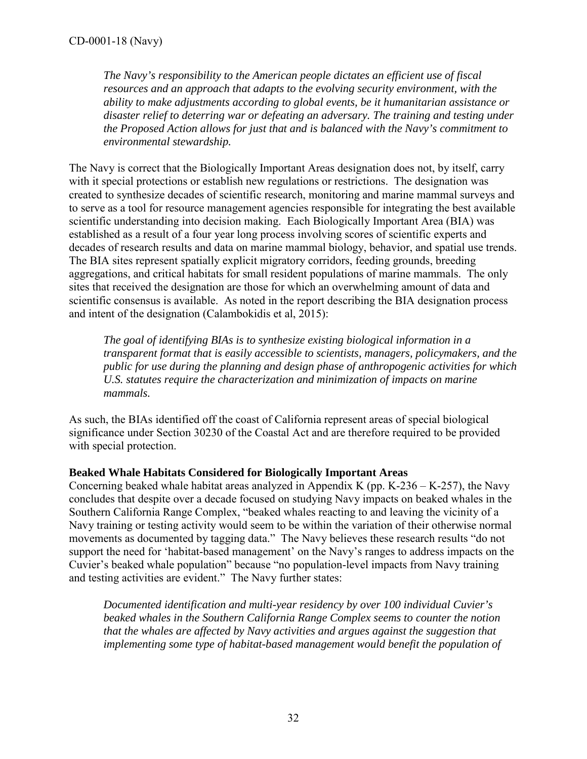*The Navy's responsibility to the American people dictates an efficient use of fiscal resources and an approach that adapts to the evolving security environment, with the ability to make adjustments according to global events, be it humanitarian assistance or disaster relief to deterring war or defeating an adversary. The training and testing under the Proposed Action allows for just that and is balanced with the Navy's commitment to environmental stewardship.* 

The Navy is correct that the Biologically Important Areas designation does not, by itself, carry with it special protections or establish new regulations or restrictions. The designation was created to synthesize decades of scientific research, monitoring and marine mammal surveys and to serve as a tool for resource management agencies responsible for integrating the best available scientific understanding into decision making. Each Biologically Important Area (BIA) was established as a result of a four year long process involving scores of scientific experts and decades of research results and data on marine mammal biology, behavior, and spatial use trends. The BIA sites represent spatially explicit migratory corridors, feeding grounds, breeding aggregations, and critical habitats for small resident populations of marine mammals. The only sites that received the designation are those for which an overwhelming amount of data and scientific consensus is available. As noted in the report describing the BIA designation process and intent of the designation (Calambokidis et al, 2015):

*The goal of identifying BIAs is to synthesize existing biological information in a transparent format that is easily accessible to scientists, managers, policymakers, and the public for use during the planning and design phase of anthropogenic activities for which U.S. statutes require the characterization and minimization of impacts on marine mammals.* 

As such, the BIAs identified off the coast of California represent areas of special biological significance under Section 30230 of the Coastal Act and are therefore required to be provided with special protection.

### **Beaked Whale Habitats Considered for Biologically Important Areas**

Concerning beaked whale habitat areas analyzed in Appendix K (pp.  $K-236 - K-257$ ), the Navy concludes that despite over a decade focused on studying Navy impacts on beaked whales in the Southern California Range Complex, "beaked whales reacting to and leaving the vicinity of a Navy training or testing activity would seem to be within the variation of their otherwise normal movements as documented by tagging data." The Navy believes these research results "do not support the need for 'habitat-based management' on the Navy's ranges to address impacts on the Cuvier's beaked whale population" because "no population-level impacts from Navy training and testing activities are evident." The Navy further states:

*Documented identification and multi-year residency by over 100 individual Cuvier's beaked whales in the Southern California Range Complex seems to counter the notion that the whales are affected by Navy activities and argues against the suggestion that implementing some type of habitat-based management would benefit the population of*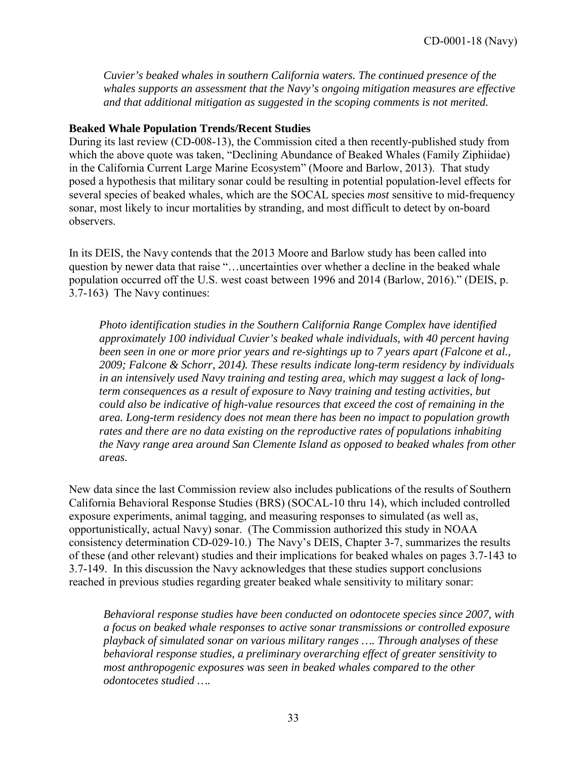*Cuvier's beaked whales in southern California waters. The continued presence of the whales supports an assessment that the Navy's ongoing mitigation measures are effective and that additional mitigation as suggested in the scoping comments is not merited.* 

#### **Beaked Whale Population Trends/Recent Studies**

During its last review (CD-008-13), the Commission cited a then recently-published study from which the above quote was taken, "Declining Abundance of Beaked Whales (Family Ziphiidae) in the California Current Large Marine Ecosystem" (Moore and Barlow, 2013). That study posed a hypothesis that military sonar could be resulting in potential population-level effects for several species of beaked whales, which are the SOCAL species *most* sensitive to mid-frequency sonar, most likely to incur mortalities by stranding, and most difficult to detect by on-board observers.

In its DEIS, the Navy contends that the 2013 Moore and Barlow study has been called into question by newer data that raise "…uncertainties over whether a decline in the beaked whale population occurred off the U.S. west coast between 1996 and 2014 (Barlow, 2016)." (DEIS, p. 3.7-163) The Navy continues:

*Photo identification studies in the Southern California Range Complex have identified approximately 100 individual Cuvier's beaked whale individuals, with 40 percent having been seen in one or more prior years and re-sightings up to 7 years apart (Falcone et al., 2009; Falcone & Schorr, 2014). These results indicate long-term residency by individuals in an intensively used Navy training and testing area, which may suggest a lack of longterm consequences as a result of exposure to Navy training and testing activities, but could also be indicative of high-value resources that exceed the cost of remaining in the area. Long-term residency does not mean there has been no impact to population growth rates and there are no data existing on the reproductive rates of populations inhabiting the Navy range area around San Clemente Island as opposed to beaked whales from other areas.* 

New data since the last Commission review also includes publications of the results of Southern California Behavioral Response Studies (BRS) (SOCAL-10 thru 14), which included controlled exposure experiments, animal tagging, and measuring responses to simulated (as well as, opportunistically, actual Navy) sonar. (The Commission authorized this study in NOAA consistency determination CD-029-10.) The Navy's DEIS, Chapter 3-7, summarizes the results of these (and other relevant) studies and their implications for beaked whales on pages 3.7-143 to 3.7-149. In this discussion the Navy acknowledges that these studies support conclusions reached in previous studies regarding greater beaked whale sensitivity to military sonar:

*Behavioral response studies have been conducted on odontocete species since 2007, with a focus on beaked whale responses to active sonar transmissions or controlled exposure playback of simulated sonar on various military ranges …. Through analyses of these behavioral response studies, a preliminary overarching effect of greater sensitivity to most anthropogenic exposures was seen in beaked whales compared to the other odontocetes studied ….*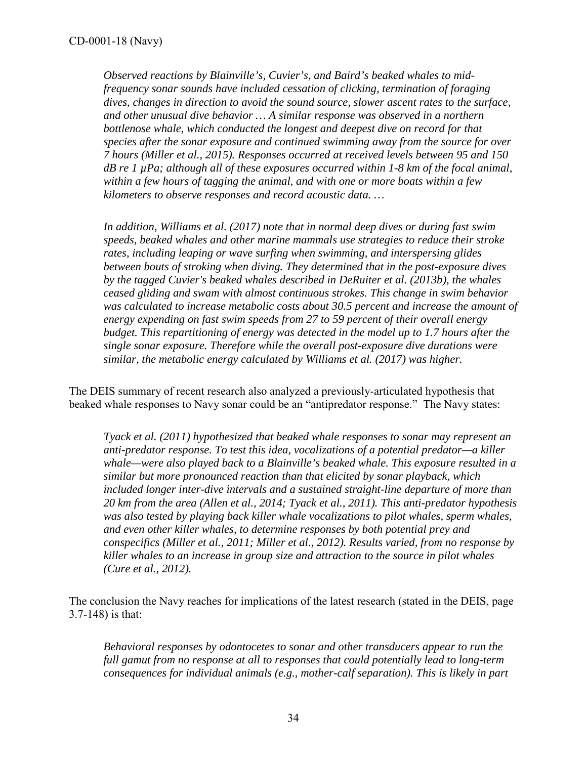*Observed reactions by Blainville's, Cuvier's, and Baird's beaked whales to midfrequency sonar sounds have included cessation of clicking, termination of foraging dives, changes in direction to avoid the sound source, slower ascent rates to the surface, and other unusual dive behavior … A similar response was observed in a northern bottlenose whale, which conducted the longest and deepest dive on record for that species after the sonar exposure and continued swimming away from the source for over 7 hours (Miller et al., 2015). Responses occurred at received levels between 95 and 150 dB re 1 µPa; although all of these exposures occurred within 1-8 km of the focal animal, within a few hours of tagging the animal, and with one or more boats within a few kilometers to observe responses and record acoustic data. …* 

*In addition, Williams et al. (2017) note that in normal deep dives or during fast swim speeds, beaked whales and other marine mammals use strategies to reduce their stroke rates, including leaping or wave surfing when swimming, and interspersing glides between bouts of stroking when diving. They determined that in the post-exposure dives by the tagged Cuvier's beaked whales described in DeRuiter et al. (2013b), the whales ceased gliding and swam with almost continuous strokes. This change in swim behavior was calculated to increase metabolic costs about 30.5 percent and increase the amount of energy expending on fast swim speeds from 27 to 59 percent of their overall energy budget. This repartitioning of energy was detected in the model up to 1.7 hours after the single sonar exposure. Therefore while the overall post-exposure dive durations were similar, the metabolic energy calculated by Williams et al. (2017) was higher.* 

The DEIS summary of recent research also analyzed a previously-articulated hypothesis that beaked whale responses to Navy sonar could be an "antipredator response." The Navy states:

*Tyack et al. (2011) hypothesized that beaked whale responses to sonar may represent an anti-predator response. To test this idea, vocalizations of a potential predator—a killer whale—were also played back to a Blainville's beaked whale. This exposure resulted in a similar but more pronounced reaction than that elicited by sonar playback, which included longer inter-dive intervals and a sustained straight-line departure of more than 20 km from the area (Allen et al., 2014; Tyack et al., 2011). This anti-predator hypothesis was also tested by playing back killer whale vocalizations to pilot whales, sperm whales, and even other killer whales, to determine responses by both potential prey and conspecifics (Miller et al., 2011; Miller et al., 2012). Results varied, from no response by killer whales to an increase in group size and attraction to the source in pilot whales (Cure et al., 2012).* 

The conclusion the Navy reaches for implications of the latest research (stated in the DEIS, page 3.7-148) is that:

*Behavioral responses by odontocetes to sonar and other transducers appear to run the full gamut from no response at all to responses that could potentially lead to long-term consequences for individual animals (e.g., mother-calf separation). This is likely in part*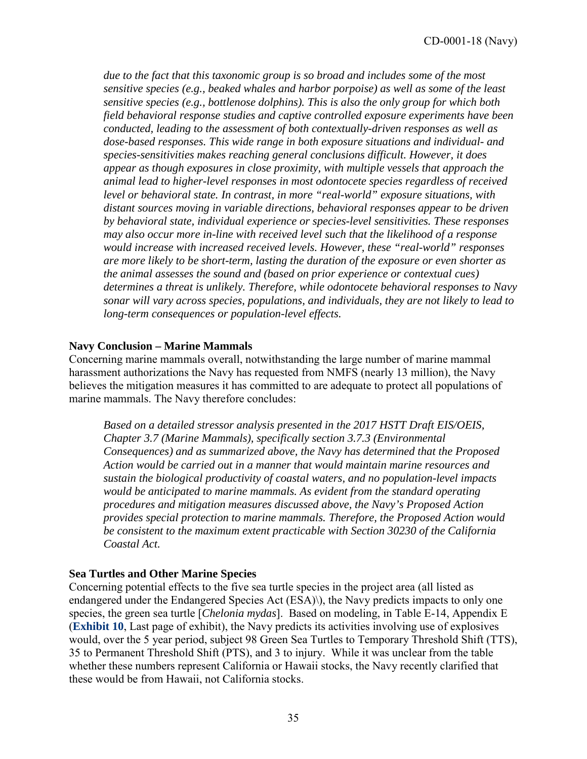*due to the fact that this taxonomic group is so broad and includes some of the most sensitive species (e.g., beaked whales and harbor porpoise) as well as some of the least sensitive species (e.g., bottlenose dolphins). This is also the only group for which both field behavioral response studies and captive controlled exposure experiments have been conducted, leading to the assessment of both contextually-driven responses as well as dose-based responses. This wide range in both exposure situations and individual- and species-sensitivities makes reaching general conclusions difficult. However, it does appear as though exposures in close proximity, with multiple vessels that approach the animal lead to higher-level responses in most odontocete species regardless of received level or behavioral state. In contrast, in more "real-world" exposure situations, with distant sources moving in variable directions, behavioral responses appear to be driven by behavioral state, individual experience or species-level sensitivities. These responses may also occur more in-line with received level such that the likelihood of a response would increase with increased received levels. However, these "real-world" responses are more likely to be short-term, lasting the duration of the exposure or even shorter as the animal assesses the sound and (based on prior experience or contextual cues) determines a threat is unlikely. Therefore, while odontocete behavioral responses to Navy sonar will vary across species, populations, and individuals, they are not likely to lead to long-term consequences or population-level effects.*

#### **Navy Conclusion – Marine Mammals**

Concerning marine mammals overall, notwithstanding the large number of marine mammal harassment authorizations the Navy has requested from NMFS (nearly 13 million), the Navy believes the mitigation measures it has committed to are adequate to protect all populations of marine mammals. The Navy therefore concludes:

*Based on a detailed stressor analysis presented in the 2017 HSTT Draft EIS/OEIS, Chapter 3.7 (Marine Mammals), specifically section 3.7.3 (Environmental Consequences) and as summarized above, the Navy has determined that the Proposed Action would be carried out in a manner that would maintain marine resources and sustain the biological productivity of coastal waters, and no population-level impacts would be anticipated to marine mammals. As evident from the standard operating procedures and mitigation measures discussed above, the Navy's Proposed Action provides special protection to marine mammals. Therefore, the Proposed Action would be consistent to the maximum extent practicable with Section 30230 of the California Coastal Act.* 

#### **Sea Turtles and Other Marine Species**

Concerning potential effects to the five sea turtle species in the project area (all listed as endangered under the Endangered Species Act (ESA)\), the Navy predicts impacts to only one species, the green sea turtle [*Chelonia mydas*]. Based on modeling, in Table E-14, Appendix E (**[Exhibit 10](https://documents.coastal.ca.gov/reports/2018/6/w14b/w14b-6-2018-exhibits.pdf)**, Last page of exhibit), the Navy predicts its activities involving use of explosives would, over the 5 year period, subject 98 Green Sea Turtles to Temporary Threshold Shift (TTS), 35 to Permanent Threshold Shift (PTS), and 3 to injury. While it was unclear from the table whether these numbers represent California or Hawaii stocks, the Navy recently clarified that these would be from Hawaii, not California stocks.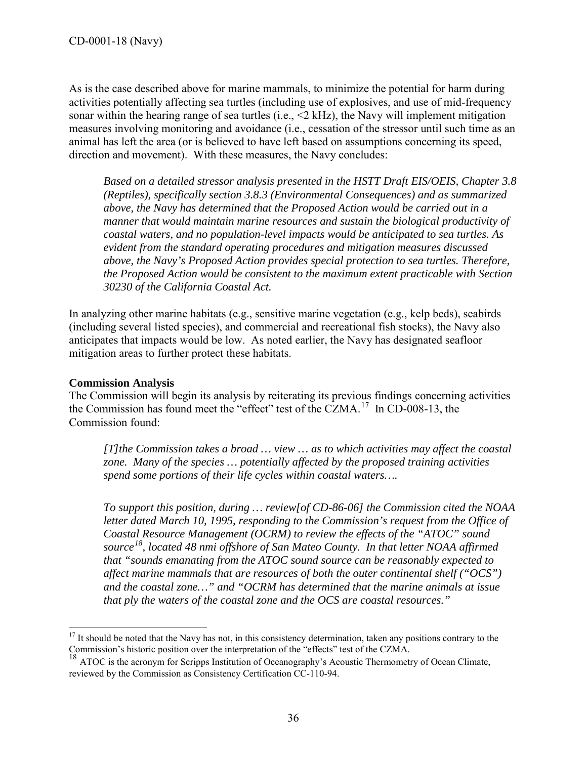As is the case described above for marine mammals, to minimize the potential for harm during activities potentially affecting sea turtles (including use of explosives, and use of mid-frequency sonar within the hearing range of sea turtles (i.e., <2 kHz), the Navy will implement mitigation measures involving monitoring and avoidance (i.e., cessation of the stressor until such time as an animal has left the area (or is believed to have left based on assumptions concerning its speed, direction and movement). With these measures, the Navy concludes:

*Based on a detailed stressor analysis presented in the HSTT Draft EIS/OEIS, Chapter 3.8 (Reptiles), specifically section 3.8.3 (Environmental Consequences) and as summarized above, the Navy has determined that the Proposed Action would be carried out in a manner that would maintain marine resources and sustain the biological productivity of coastal waters, and no population-level impacts would be anticipated to sea turtles. As evident from the standard operating procedures and mitigation measures discussed above, the Navy's Proposed Action provides special protection to sea turtles. Therefore, the Proposed Action would be consistent to the maximum extent practicable with Section 30230 of the California Coastal Act.* 

In analyzing other marine habitats (e.g., sensitive marine vegetation (e.g., kelp beds), seabirds (including several listed species), and commercial and recreational fish stocks), the Navy also anticipates that impacts would be low. As noted earlier, the Navy has designated seafloor mitigation areas to further protect these habitats.

#### **Commission Analysis**

The Commission will begin its analysis by reiterating its previous findings concerning activities the Commission has found meet the "effect" test of the CZMA. [17](#page-35-0) In CD-008-13, the Commission found:

*[T]the Commission takes a broad … view … as to which activities may affect the coastal zone. Many of the species … potentially affected by the proposed training activities spend some portions of their life cycles within coastal waters….* 

*To support this position, during … review[of CD-86-06] the Commission cited the NOAA letter dated March 10, 1995, responding to the Commission's request from the Office of Coastal Resource Management (OCRM) to review the effects of the "ATOC" sound source [18,](#page-35-1) located 48 nmi offshore of San Mateo County. In that letter NOAA affirmed that "sounds emanating from the ATOC sound source can be reasonably expected to affect marine mammals that are resources of both the outer continental shelf ("OCS") and the coastal zone…" and "OCRM has determined that the marine animals at issue that ply the waters of the coastal zone and the OCS are coastal resources."* 

<span id="page-35-0"></span> $\overline{a}$  $17$  It should be noted that the Navy has not, in this consistency determination, taken any positions contrary to the Commission's historic position over the interpretation of the "effects" test of the CZMA.

<span id="page-35-1"></span><sup>&</sup>lt;sup>18</sup> ATOC is the acronym for Scripps Institution of Oceanography's Acoustic Thermometry of Ocean Climate, reviewed by the Commission as Consistency Certification CC-110-94.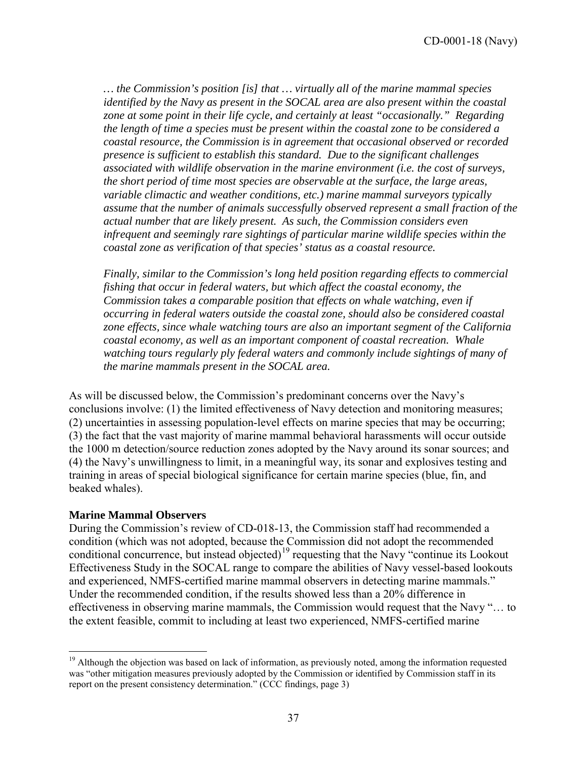*… the Commission's position [is] that … virtually all of the marine mammal species identified by the Navy as present in the SOCAL area are also present within the coastal zone at some point in their life cycle, and certainly at least "occasionally." Regarding the length of time a species must be present within the coastal zone to be considered a coastal resource, the Commission is in agreement that occasional observed or recorded presence is sufficient to establish this standard. Due to the significant challenges associated with wildlife observation in the marine environment (i.e. the cost of surveys, the short period of time most species are observable at the surface, the large areas, variable climactic and weather conditions, etc.) marine mammal surveyors typically assume that the number of animals successfully observed represent a small fraction of the actual number that are likely present. As such, the Commission considers even infrequent and seemingly rare sightings of particular marine wildlife species within the coastal zone as verification of that species' status as a coastal resource.* 

*Finally, similar to the Commission's long held position regarding effects to commercial fishing that occur in federal waters, but which affect the coastal economy, the Commission takes a comparable position that effects on whale watching, even if occurring in federal waters outside the coastal zone, should also be considered coastal zone effects, since whale watching tours are also an important segment of the California coastal economy, as well as an important component of coastal recreation. Whale*  watching tours regularly ply federal waters and commonly include sightings of many of *the marine mammals present in the SOCAL area.* 

As will be discussed below, the Commission's predominant concerns over the Navy's conclusions involve: (1) the limited effectiveness of Navy detection and monitoring measures; (2) uncertainties in assessing population-level effects on marine species that may be occurring; (3) the fact that the vast majority of marine mammal behavioral harassments will occur outside the 1000 m detection/source reduction zones adopted by the Navy around its sonar sources; and (4) the Navy's unwillingness to limit, in a meaningful way, its sonar and explosives testing and training in areas of special biological significance for certain marine species (blue, fin, and beaked whales).

#### **Marine Mammal Observers**

 $\overline{a}$ 

During the Commission's review of CD-018-13, the Commission staff had recommended a condition (which was not adopted, because the Commission did not adopt the recommended conditional concurrence, but instead objected)<sup>[19](#page-36-0)</sup> requesting that the Navy "continue its Lookout" Effectiveness Study in the SOCAL range to compare the abilities of Navy vessel-based lookouts and experienced, NMFS-certified marine mammal observers in detecting marine mammals." Under the recommended condition, if the results showed less than a 20% difference in effectiveness in observing marine mammals, the Commission would request that the Navy "… to the extent feasible, commit to including at least two experienced, NMFS-certified marine

<span id="page-36-0"></span><sup>&</sup>lt;sup>19</sup> Although the objection was based on lack of information, as previously noted, among the information requested was "other mitigation measures previously adopted by the Commission or identified by Commission staff in its report on the present consistency determination." (CCC findings, page 3)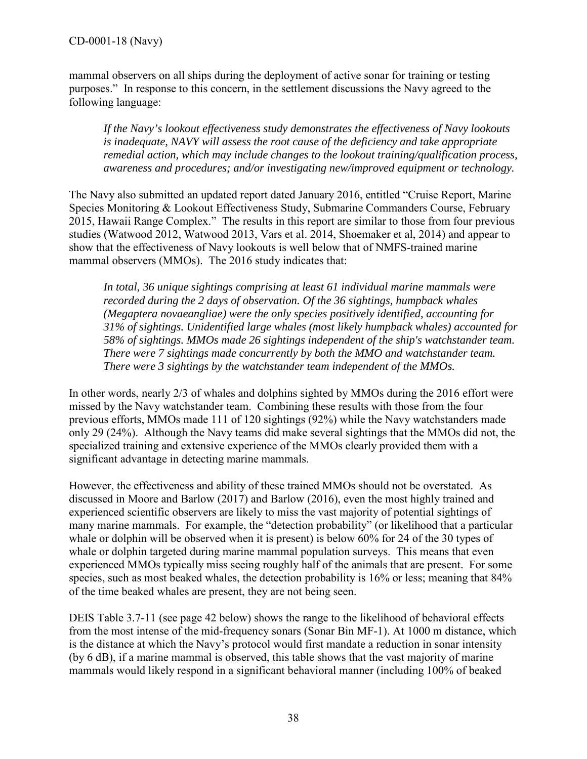mammal observers on all ships during the deployment of active sonar for training or testing purposes." In response to this concern, in the settlement discussions the Navy agreed to the following language:

*If the Navy's lookout effectiveness study demonstrates the effectiveness of Navy lookouts is inadequate, NAVY will assess the root cause of the deficiency and take appropriate remedial action, which may include changes to the lookout training/qualification process, awareness and procedures; and/or investigating new/improved equipment or technology.* 

The Navy also submitted an updated report dated January 2016, entitled "Cruise Report, Marine Species Monitoring & Lookout Effectiveness Study, Submarine Commanders Course, February 2015, Hawaii Range Complex." The results in this report are similar to those from four previous studies (Watwood 2012, Watwood 2013, Vars et al. 2014, Shoemaker et al, 2014) and appear to show that the effectiveness of Navy lookouts is well below that of NMFS-trained marine mammal observers (MMOs). The 2016 study indicates that:

*In total, 36 unique sightings comprising at least 61 individual marine mammals were recorded during the 2 days of observation. Of the 36 sightings, humpback whales (Megaptera novaeangliae) were the only species positively identified, accounting for 31% of sightings. Unidentified large whales (most likely humpback whales) accounted for 58% of sightings. MMOs made 26 sightings independent of the ship's watchstander team. There were 7 sightings made concurrently by both the MMO and watchstander team. There were 3 sightings by the watchstander team independent of the MMOs.* 

In other words, nearly 2/3 of whales and dolphins sighted by MMOs during the 2016 effort were missed by the Navy watchstander team. Combining these results with those from the four previous efforts, MMOs made 111 of 120 sightings (92%) while the Navy watchstanders made only 29 (24%). Although the Navy teams did make several sightings that the MMOs did not, the specialized training and extensive experience of the MMOs clearly provided them with a significant advantage in detecting marine mammals.

However, the effectiveness and ability of these trained MMOs should not be overstated. As discussed in Moore and Barlow (2017) and Barlow (2016), even the most highly trained and experienced scientific observers are likely to miss the vast majority of potential sightings of many marine mammals. For example, the "detection probability" (or likelihood that a particular whale or dolphin will be observed when it is present) is below 60% for 24 of the 30 types of whale or dolphin targeted during marine mammal population surveys. This means that even experienced MMOs typically miss seeing roughly half of the animals that are present. For some species, such as most beaked whales, the detection probability is 16% or less; meaning that 84% of the time beaked whales are present, they are not being seen.

DEIS Table 3.7-11 (see page 42 below) shows the range to the likelihood of behavioral effects from the most intense of the mid-frequency sonars (Sonar Bin MF-1). At 1000 m distance, which is the distance at which the Navy's protocol would first mandate a reduction in sonar intensity (by 6 dB), if a marine mammal is observed, this table shows that the vast majority of marine mammals would likely respond in a significant behavioral manner (including 100% of beaked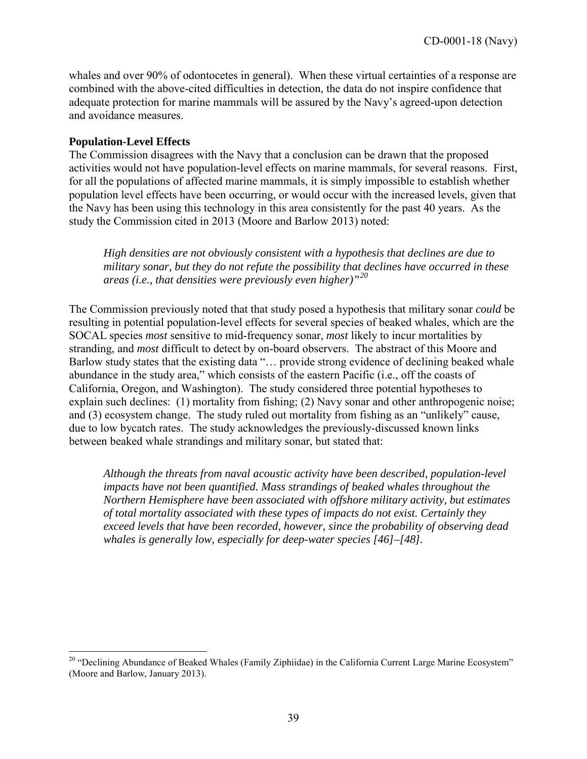whales and over 90% of odontocetes in general). When these virtual certainties of a response are combined with the above-cited difficulties in detection, the data do not inspire confidence that adequate protection for marine mammals will be assured by the Navy's agreed-upon detection and avoidance measures.

#### **Population-Level Effects**

 $\overline{a}$ 

The Commission disagrees with the Navy that a conclusion can be drawn that the proposed activities would not have population-level effects on marine mammals, for several reasons. First, for all the populations of affected marine mammals, it is simply impossible to establish whether population level effects have been occurring, or would occur with the increased levels, given that the Navy has been using this technology in this area consistently for the past 40 years. As the study the Commission cited in 2013 (Moore and Barlow 2013) noted:

*High densities are not obviously consistent with a hypothesis that declines are due to military sonar, but they do not refute the possibility that declines have occurred in these areas (i.e., that densities were previously even higher)"[20](#page-38-0)*

The Commission previously noted that that study posed a hypothesis that military sonar *could* be resulting in potential population-level effects for several species of beaked whales, which are the SOCAL species *most* sensitive to mid-frequency sonar, *most* likely to incur mortalities by stranding, and *most* difficult to detect by on-board observers. The abstract of this Moore and Barlow study states that the existing data "... provide strong evidence of declining beaked whale abundance in the study area," which consists of the eastern Pacific (i.e., off the coasts of California, Oregon, and Washington). The study considered three potential hypotheses to explain such declines: (1) mortality from fishing; (2) Navy sonar and other anthropogenic noise; and (3) ecosystem change. The study ruled out mortality from fishing as an "unlikely" cause, due to low bycatch rates. The study acknowledges the previously-discussed known links between beaked whale strandings and military sonar, but stated that:

*Although the threats from naval acoustic activity have been described, population-level impacts have not been quantified. Mass strandings of beaked whales throughout the Northern Hemisphere have been associated with offshore military activity, but estimates of total mortality associated with these types of impacts do not exist. Certainly they exceed levels that have been recorded, however, since the probability of observing dead whales is generally low, especially for deep-water species [46]–[48].*

<span id="page-38-0"></span><sup>&</sup>lt;sup>20</sup> "Declining Abundance of Beaked Whales (Family Ziphiidae) in the California Current Large Marine Ecosystem" (Moore and Barlow, January 2013).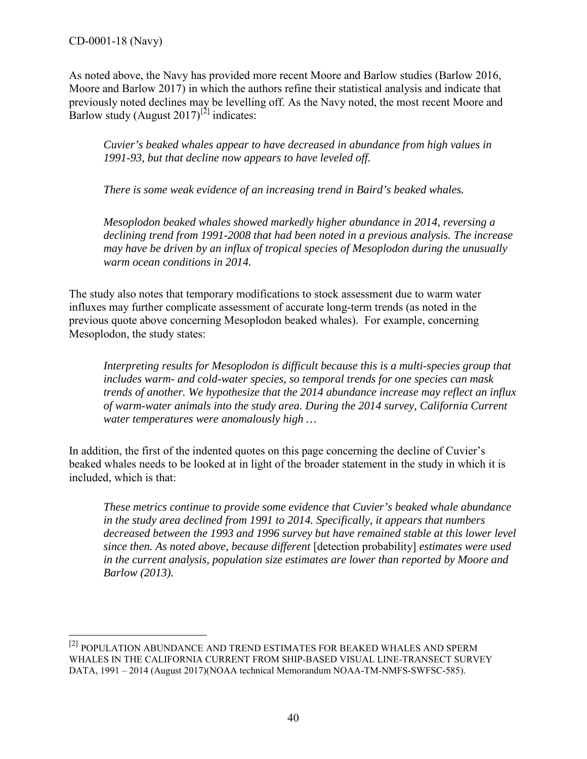$\overline{a}$ 

As noted above, the Navy has provided more recent Moore and Barlow studies (Barlow 2016, Moore and Barlow 2017) in which the authors refine their statistical analysis and indicate that previously noted declines may be levelling off. As the Navy noted, the most recent Moore and Barlow study (August 2017)<sup>[\[2\]](#page-39-0)</sup> indicates:

*Cuvier's beaked whales appear to have decreased in abundance from high values in 1991-93, but that decline now appears to have leveled off.* 

*There is some weak evidence of an increasing trend in Baird's beaked whales.* 

*Mesoplodon beaked whales showed markedly higher abundance in 2014, reversing a declining trend from 1991-2008 that had been noted in a previous analysis. The increase may have be driven by an influx of tropical species of Mesoplodon during the unusually warm ocean conditions in 2014.* 

The study also notes that temporary modifications to stock assessment due to warm water influxes may further complicate assessment of accurate long-term trends (as noted in the previous quote above concerning Mesoplodon beaked whales). For example, concerning Mesoplodon, the study states:

*Interpreting results for Mesoplodon is difficult because this is a multi-species group that includes warm- and cold-water species, so temporal trends for one species can mask trends of another. We hypothesize that the 2014 abundance increase may reflect an influx of warm-water animals into the study area. During the 2014 survey, California Current water temperatures were anomalously high …* 

In addition, the first of the indented quotes on this page concerning the decline of Cuvier's beaked whales needs to be looked at in light of the broader statement in the study in which it is included, which is that:

*These metrics continue to provide some evidence that Cuvier's beaked whale abundance in the study area declined from 1991 to 2014. Specifically, it appears that numbers decreased between the 1993 and 1996 survey but have remained stable at this lower level since then. As noted above, because different* [detection probability] *estimates were used in the current analysis, population size estimates are lower than reported by Moore and Barlow (2013).* 

<span id="page-39-0"></span><sup>&</sup>lt;sup>[2]</sup> POPULATION ABUNDANCE AND TREND ESTIMATES FOR BEAKED WHALES AND SPERM WHALES IN THE CALIFORNIA CURRENT FROM SHIP-BASED VISUAL LINE-TRANSECT SURVEY DATA, 1991 – 2014 (August 2017)(NOAA technical Memorandum NOAA-TM-NMFS-SWFSC-585).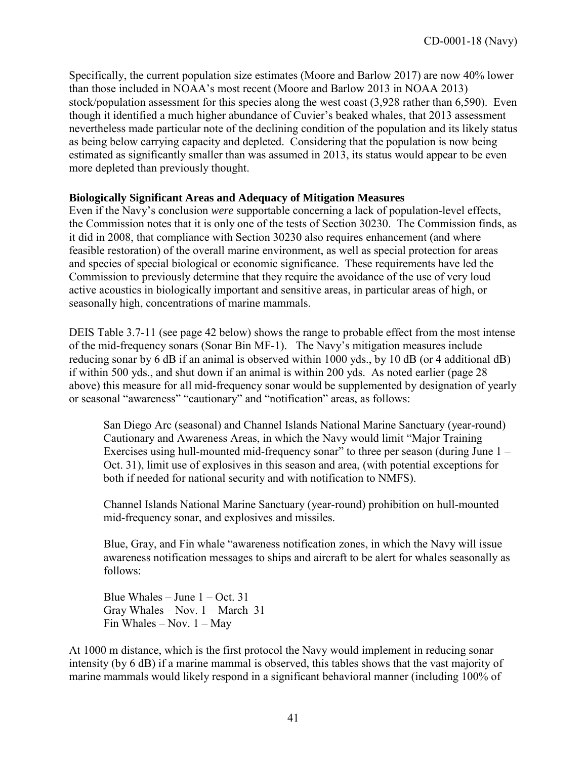Specifically, the current population size estimates (Moore and Barlow 2017) are now 40% lower than those included in NOAA's most recent (Moore and Barlow 2013 in NOAA 2013) stock/population assessment for this species along the west coast (3,928 rather than 6,590). Even though it identified a much higher abundance of Cuvier's beaked whales, that 2013 assessment nevertheless made particular note of the declining condition of the population and its likely status as being below carrying capacity and depleted. Considering that the population is now being estimated as significantly smaller than was assumed in 2013, its status would appear to be even more depleted than previously thought.

#### **Biologically Significant Areas and Adequacy of Mitigation Measures**

Even if the Navy's conclusion *were* supportable concerning a lack of population-level effects, the Commission notes that it is only one of the tests of Section 30230. The Commission finds, as it did in 2008, that compliance with Section 30230 also requires enhancement (and where feasible restoration) of the overall marine environment, as well as special protection for areas and species of special biological or economic significance. These requirements have led the Commission to previously determine that they require the avoidance of the use of very loud active acoustics in biologically important and sensitive areas, in particular areas of high, or seasonally high, concentrations of marine mammals.

DEIS Table 3.7-11 (see page 42 below) shows the range to probable effect from the most intense of the mid-frequency sonars (Sonar Bin MF-1). The Navy's mitigation measures include reducing sonar by 6 dB if an animal is observed within 1000 yds., by 10 dB (or 4 additional dB) if within 500 yds., and shut down if an animal is within 200 yds. As noted earlier (page 28 above) this measure for all mid-frequency sonar would be supplemented by designation of yearly or seasonal "awareness" "cautionary" and "notification" areas, as follows:

San Diego Arc (seasonal) and Channel Islands National Marine Sanctuary (year-round) Cautionary and Awareness Areas, in which the Navy would limit "Major Training Exercises using hull-mounted mid-frequency sonar" to three per season (during June 1 – Oct. 31), limit use of explosives in this season and area, (with potential exceptions for both if needed for national security and with notification to NMFS).

Channel Islands National Marine Sanctuary (year-round) prohibition on hull-mounted mid-frequency sonar, and explosives and missiles.

Blue, Gray, and Fin whale "awareness notification zones, in which the Navy will issue awareness notification messages to ships and aircraft to be alert for whales seasonally as follows:

Blue Whales – June  $1 - Oct. 31$ Gray Whales – Nov. 1 – March 31 Fin Whales – Nov.  $1 - May$ 

At 1000 m distance, which is the first protocol the Navy would implement in reducing sonar intensity (by 6 dB) if a marine mammal is observed, this tables shows that the vast majority of marine mammals would likely respond in a significant behavioral manner (including 100% of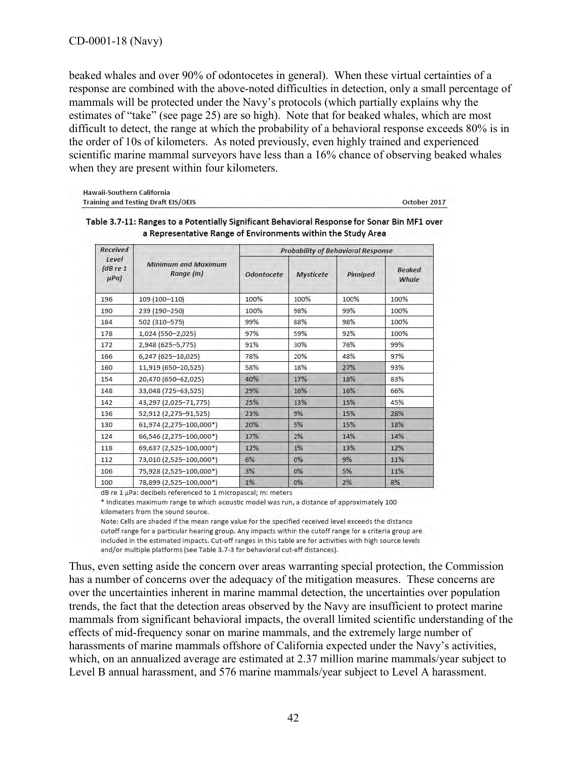beaked whales and over 90% of odontocetes in general). When these virtual certainties of a response are combined with the above-noted difficulties in detection, only a small percentage of mammals will be protected under the Navy's protocols (which partially explains why the estimates of "take" (see page 25) are so high). Note that for beaked whales, which are most difficult to detect, the range at which the probability of a behavioral response exceeds 80% is in the order of 10s of kilometers. As noted previously, even highly trained and experienced scientific marine mammal surveyors have less than a 16% chance of observing beaked whales when they are present within four kilometers.

| <b>Hawaii-Southern California</b>          |  |
|--------------------------------------------|--|
| <b>Training and Testing Draft FIS/OFIS</b> |  |

October 2017

| <b>Received</b><br>Level<br>(dBre1)<br>$\mu$ Pa) |                                         | <b>Probability of Behavioral Response</b> |                  |          |                        |
|--------------------------------------------------|-----------------------------------------|-------------------------------------------|------------------|----------|------------------------|
|                                                  | <b>Minimum and Maximum</b><br>Range (m) | <b>Odontocete</b>                         | <b>Mysticete</b> | Pinniped | <b>Beaked</b><br>Whale |
| 196                                              | 109 (100-110)                           | 100%                                      | 100%             | 100%     | 100%                   |
| 190                                              | 239 (190-250)                           | 100%                                      | 98%              | 99%      | 100%                   |
| 184                                              | 502 (310-575)                           | 99%                                       | 88%              | 98%      | 100%                   |
| 178                                              | $1,024$ (550-2,025)                     | 97%                                       | 59%              | 92%      | 100%                   |
| 172                                              | 2,948 (625-5,775)                       | 91%                                       | 30%              | 76%      | 99%                    |
| 166                                              | $6,247$ (625-10,025)                    | 78%                                       | 20%              | 48%      | 97%                    |
| 160                                              | 11,919 (650-20,525)                     | 58%                                       | 18%              | 27%      | 93%                    |
| 154                                              | 20,470 (650-62,025)                     | 40%                                       | 17%              | 18%      | 83%                    |
| 148                                              | 33,048 (725-63,525)                     | 29%                                       | 16%              | 16%      | 66%                    |
| 142                                              | 43,297 (2,025-71,775)                   | 25%                                       | 13%              | 15%      | 45%                    |
| 136                                              | 52,912 (2,275-91,525)                   | 23%                                       | 9%               | 15%      | 28%                    |
| 130                                              | 61,974 (2,275-100,000*)                 | 20%                                       | 5%               | 15%      | 18%                    |
| 124                                              | 66,546 (2,275-100,000*)                 | 17%                                       | 2%               | 14%      | 14%                    |
| 118                                              | 69,637 (2,525-100,000*)                 | 12%                                       | 1%               | 13%      | 12%                    |
| 112                                              | 73,010 (2,525-100,000*)                 | 6%                                        | $0\%$            | 9%       | 11%                    |
| 106                                              | 75,928 (2,525-100,000*)                 | 3%                                        | 0%               | 5%       | 11%                    |
| 100                                              | 78,899 (2,525-100,000*)                 | 1%                                        | 0%               | 2%       | 8%                     |

| Table 3.7-11: Ranges to a Potentially Significant Behavioral Response for Sonar Bin MF1 over |  |
|----------------------------------------------------------------------------------------------|--|
| a Representative Range of Environments within the Study Area                                 |  |

dB re 1 µPa: decibels referenced to 1 micropascal; m: meters

\* Indicates maximum range to which acoustic model was run, a distance of approximately 100 kilometers from the sound source.

Note: Cells are shaded if the mean range value for the specified received level exceeds the distance cutoff range for a particular hearing group. Any impacts within the cutoff range for a criteria group are included in the estimated impacts. Cut-off ranges in this table are for activities with high source levels and/or multiple platforms (see Table 3.7-3 for behavioral cut-off distances).

Thus, even setting aside the concern over areas warranting special protection, the Commission has a number of concerns over the adequacy of the mitigation measures. These concerns are over the uncertainties inherent in marine mammal detection, the uncertainties over population trends, the fact that the detection areas observed by the Navy are insufficient to protect marine mammals from significant behavioral impacts, the overall limited scientific understanding of the effects of mid-frequency sonar on marine mammals, and the extremely large number of harassments of marine mammals offshore of California expected under the Navy's activities, which, on an annualized average are estimated at 2.37 million marine mammals/year subject to Level B annual harassment, and 576 marine mammals/year subject to Level A harassment.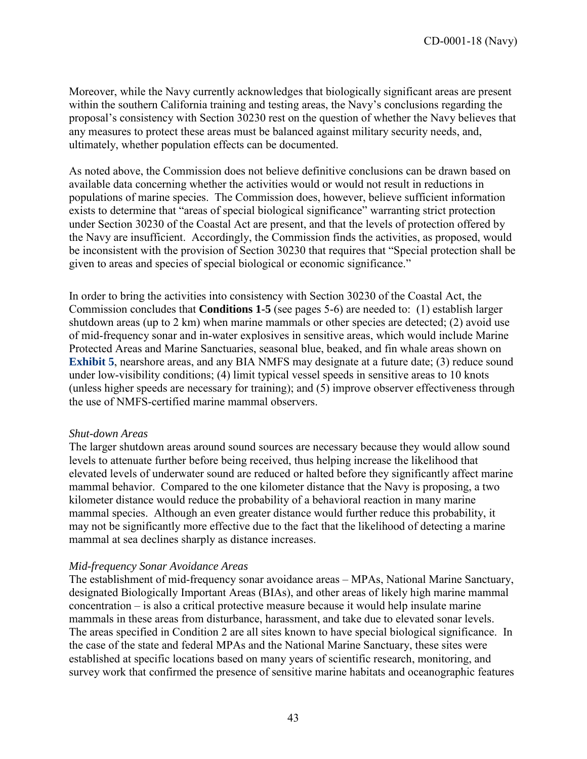Moreover, while the Navy currently acknowledges that biologically significant areas are present within the southern California training and testing areas, the Navy's conclusions regarding the proposal's consistency with Section 30230 rest on the question of whether the Navy believes that any measures to protect these areas must be balanced against military security needs, and, ultimately, whether population effects can be documented.

As noted above, the Commission does not believe definitive conclusions can be drawn based on available data concerning whether the activities would or would not result in reductions in populations of marine species. The Commission does, however, believe sufficient information exists to determine that "areas of special biological significance" warranting strict protection under Section 30230 of the Coastal Act are present, and that the levels of protection offered by the Navy are insufficient. Accordingly, the Commission finds the activities, as proposed, would be inconsistent with the provision of Section 30230 that requires that "Special protection shall be given to areas and species of special biological or economic significance."

In order to bring the activities into consistency with Section 30230 of the Coastal Act, the Commission concludes that **Conditions 1-5** (see pages 5-6) are needed to: (1) establish larger shutdown areas (up to 2 km) when marine mammals or other species are detected; (2) avoid use of mid-frequency sonar and in-water explosives in sensitive areas, which would include Marine Protected Areas and Marine Sanctuaries, seasonal blue, beaked, and fin whale areas shown on **[Exhibit 5](https://documents.coastal.ca.gov/reports/2018/6/w14b/w14b-6-2018-exhibits.pdf)**, nearshore areas, and any BIA NMFS may designate at a future date; (3) reduce sound under low-visibility conditions; (4) limit typical vessel speeds in sensitive areas to 10 knots (unless higher speeds are necessary for training); and (5) improve observer effectiveness through the use of NMFS-certified marine mammal observers.

#### *Shut-down Areas*

The larger shutdown areas around sound sources are necessary because they would allow sound levels to attenuate further before being received, thus helping increase the likelihood that elevated levels of underwater sound are reduced or halted before they significantly affect marine mammal behavior. Compared to the one kilometer distance that the Navy is proposing, a two kilometer distance would reduce the probability of a behavioral reaction in many marine mammal species. Although an even greater distance would further reduce this probability, it may not be significantly more effective due to the fact that the likelihood of detecting a marine mammal at sea declines sharply as distance increases.

#### *Mid-frequency Sonar Avoidance Areas*

The establishment of mid-frequency sonar avoidance areas – MPAs, National Marine Sanctuary, designated Biologically Important Areas (BIAs), and other areas of likely high marine mammal concentration – is also a critical protective measure because it would help insulate marine mammals in these areas from disturbance, harassment, and take due to elevated sonar levels. The areas specified in Condition 2 are all sites known to have special biological significance. In the case of the state and federal MPAs and the National Marine Sanctuary, these sites were established at specific locations based on many years of scientific research, monitoring, and survey work that confirmed the presence of sensitive marine habitats and oceanographic features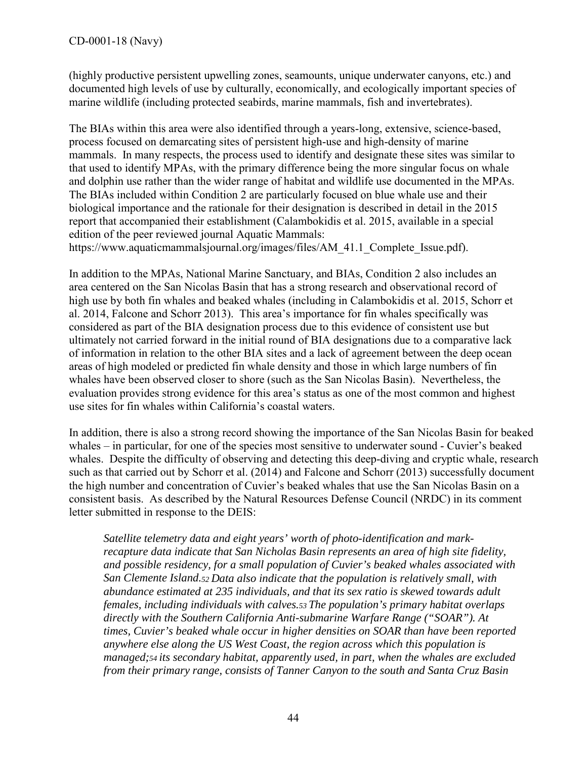(highly productive persistent upwelling zones, seamounts, unique underwater canyons, etc.) and documented high levels of use by culturally, economically, and ecologically important species of marine wildlife (including protected seabirds, marine mammals, fish and invertebrates).

The BIAs within this area were also identified through a years-long, extensive, science-based, process focused on demarcating sites of persistent high-use and high-density of marine mammals. In many respects, the process used to identify and designate these sites was similar to that used to identify MPAs, with the primary difference being the more singular focus on whale and dolphin use rather than the wider range of habitat and wildlife use documented in the MPAs. The BIAs included within Condition 2 are particularly focused on blue whale use and their biological importance and the rationale for their designation is described in detail in the 2015 report that accompanied their establishment (Calambokidis et al. 2015, available in a special edition of the peer reviewed journal Aquatic Mammals: https://www.aquaticmammalsjournal.org/images/files/AM\_41.1\_Complete\_Issue.pdf).

In addition to the MPAs, National Marine Sanctuary, and BIAs, Condition 2 also includes an area centered on the San Nicolas Basin that has a strong research and observational record of high use by both fin whales and beaked whales (including in Calambokidis et al. 2015, Schorr et al. 2014, Falcone and Schorr 2013). This area's importance for fin whales specifically was considered as part of the BIA designation process due to this evidence of consistent use but ultimately not carried forward in the initial round of BIA designations due to a comparative lack of information in relation to the other BIA sites and a lack of agreement between the deep ocean areas of high modeled or predicted fin whale density and those in which large numbers of fin whales have been observed closer to shore (such as the San Nicolas Basin). Nevertheless, the evaluation provides strong evidence for this area's status as one of the most common and highest use sites for fin whales within California's coastal waters.

In addition, there is also a strong record showing the importance of the San Nicolas Basin for beaked whales – in particular, for one of the species most sensitive to underwater sound - Cuvier's beaked whales. Despite the difficulty of observing and detecting this deep-diving and cryptic whale, research such as that carried out by Schorr et al. (2014) and Falcone and Schorr (2013) successfully document the high number and concentration of Cuvier's beaked whales that use the San Nicolas Basin on a consistent basis. As described by the Natural Resources Defense Council (NRDC) in its comment letter submitted in response to the DEIS:

*Satellite telemetry data and eight years' worth of photo-identification and markrecapture data indicate that San Nicholas Basin represents an area of high site fidelity, and possible residency, for a small population of Cuvier's beaked whales associated with San Clemente Island.52 Data also indicate that the population is relatively small, with abundance estimated at 235 individuals, and that its sex ratio is skewed towards adult females, including individuals with calves.53 The population's primary habitat overlaps directly with the Southern California Anti-submarine Warfare Range ("SOAR"). At times, Cuvier's beaked whale occur in higher densities on SOAR than have been reported anywhere else along the US West Coast, the region across which this population is managed;54 its secondary habitat, apparently used, in part, when the whales are excluded from their primary range, consists of Tanner Canyon to the south and Santa Cruz Basin*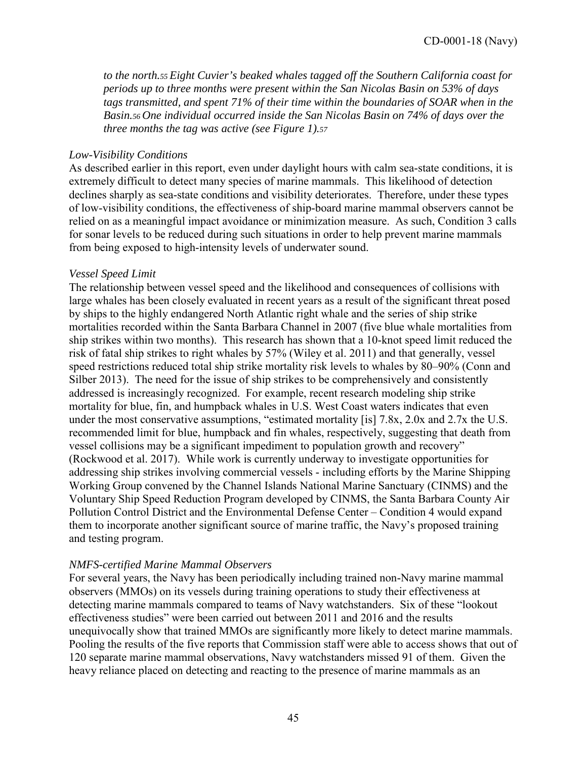*to the north.55 Eight Cuvier's beaked whales tagged off the Southern California coast for periods up to three months were present within the San Nicolas Basin on 53% of days tags transmitted, and spent 71% of their time within the boundaries of SOAR when in the Basin.56 One individual occurred inside the San Nicolas Basin on 74% of days over the three months the tag was active (see Figure 1).57* 

#### *Low-Visibility Conditions*

As described earlier in this report, even under daylight hours with calm sea-state conditions, it is extremely difficult to detect many species of marine mammals. This likelihood of detection declines sharply as sea-state conditions and visibility deteriorates. Therefore, under these types of low-visibility conditions, the effectiveness of ship-board marine mammal observers cannot be relied on as a meaningful impact avoidance or minimization measure. As such, Condition 3 calls for sonar levels to be reduced during such situations in order to help prevent marine mammals from being exposed to high-intensity levels of underwater sound.

#### *Vessel Speed Limit*

The relationship between vessel speed and the likelihood and consequences of collisions with large whales has been closely evaluated in recent years as a result of the significant threat posed by ships to the highly endangered North Atlantic right whale and the series of ship strike mortalities recorded within the Santa Barbara Channel in 2007 (five blue whale mortalities from ship strikes within two months). This research has shown that a 10-knot speed limit reduced the risk of fatal ship strikes to right whales by 57% (Wiley et al. 2011) and that generally, vessel speed restrictions reduced total ship strike mortality risk levels to whales by 80–90% (Conn and Silber 2013). The need for the issue of ship strikes to be comprehensively and consistently addressed is increasingly recognized. For example, recent research modeling ship strike mortality for blue, fin, and humpback whales in U.S. West Coast waters indicates that even under the most conservative assumptions, "estimated mortality [is] 7.8x, 2.0x and 2.7x the U.S. recommended limit for blue, humpback and fin whales, respectively, suggesting that death from vessel collisions may be a significant impediment to population growth and recovery" (Rockwood et al. 2017). While work is currently underway to investigate opportunities for addressing ship strikes involving commercial vessels - including efforts by the Marine Shipping Working Group convened by the Channel Islands National Marine Sanctuary (CINMS) and the Voluntary Ship Speed Reduction Program developed by CINMS, the Santa Barbara County Air Pollution Control District and the Environmental Defense Center – Condition 4 would expand them to incorporate another significant source of marine traffic, the Navy's proposed training and testing program.

#### *NMFS-certified Marine Mammal Observers*

For several years, the Navy has been periodically including trained non-Navy marine mammal observers (MMOs) on its vessels during training operations to study their effectiveness at detecting marine mammals compared to teams of Navy watchstanders. Six of these "lookout effectiveness studies" were been carried out between 2011 and 2016 and the results unequivocally show that trained MMOs are significantly more likely to detect marine mammals. Pooling the results of the five reports that Commission staff were able to access shows that out of 120 separate marine mammal observations, Navy watchstanders missed 91 of them. Given the heavy reliance placed on detecting and reacting to the presence of marine mammals as an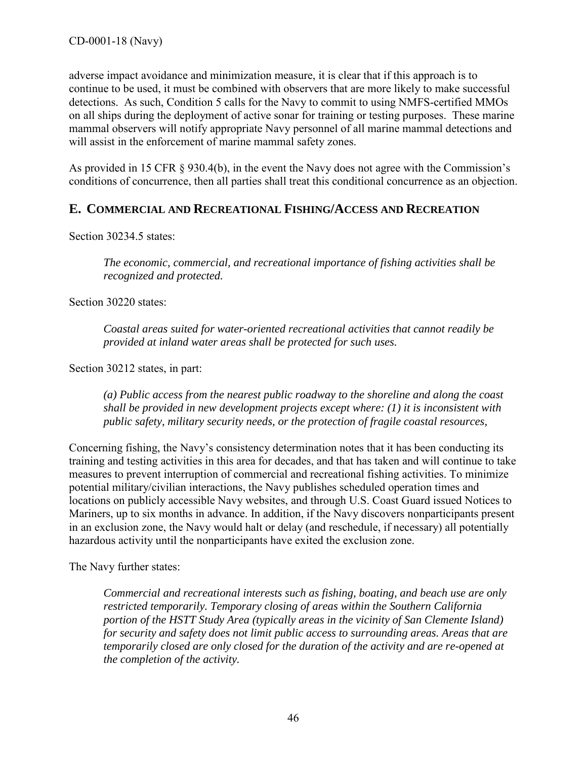adverse impact avoidance and minimization measure, it is clear that if this approach is to continue to be used, it must be combined with observers that are more likely to make successful detections. As such, Condition 5 calls for the Navy to commit to using NMFS-certified MMOs on all ships during the deployment of active sonar for training or testing purposes. These marine mammal observers will notify appropriate Navy personnel of all marine mammal detections and will assist in the enforcement of marine mammal safety zones.

As provided in 15 CFR § 930.4(b), in the event the Navy does not agree with the Commission's conditions of concurrence, then all parties shall treat this conditional concurrence as an objection.

## <span id="page-45-0"></span>**E. COMMERCIAL AND RECREATIONAL FISHING/ACCESS AND RECREATION**

Section 30234.5 states:

*The economic, commercial, and recreational importance of fishing activities shall be recognized and protected.*

Section 30220 states:

*Coastal areas suited for water-oriented recreational activities that cannot readily be provided at inland water areas shall be protected for such uses.* 

Section 30212 states, in part:

*(a) Public access from the nearest public roadway to the shoreline and along the coast shall be provided in new development projects except where: (1) it is inconsistent with public safety, military security needs, or the protection of fragile coastal resources,* 

Concerning fishing, the Navy's consistency determination notes that it has been conducting its training and testing activities in this area for decades, and that has taken and will continue to take measures to prevent interruption of commercial and recreational fishing activities. To minimize potential military/civilian interactions, the Navy publishes scheduled operation times and locations on publicly accessible Navy websites, and through U.S. Coast Guard issued Notices to Mariners, up to six months in advance. In addition, if the Navy discovers nonparticipants present in an exclusion zone, the Navy would halt or delay (and reschedule, if necessary) all potentially hazardous activity until the nonparticipants have exited the exclusion zone.

The Navy further states:

*Commercial and recreational interests such as fishing, boating, and beach use are only restricted temporarily. Temporary closing of areas within the Southern California portion of the HSTT Study Area (typically areas in the vicinity of San Clemente Island) for security and safety does not limit public access to surrounding areas. Areas that are temporarily closed are only closed for the duration of the activity and are re-opened at the completion of the activity.*